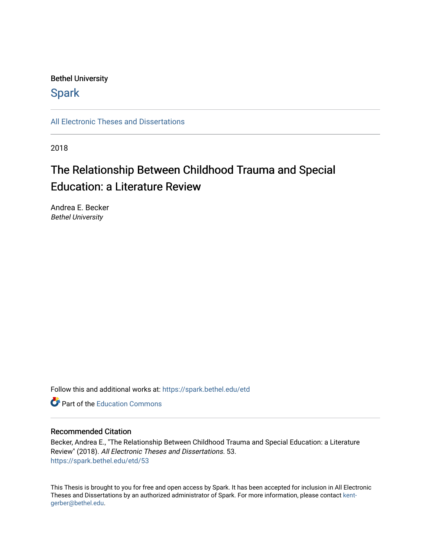# Bethel University

# **Spark**

[All Electronic Theses and Dissertations](https://spark.bethel.edu/etd) 

2018

# The Relationship Between Childhood Trauma and Special Education: a Literature Review

Andrea E. Becker Bethel University

Follow this and additional works at: [https://spark.bethel.edu/etd](https://spark.bethel.edu/etd?utm_source=spark.bethel.edu%2Fetd%2F53&utm_medium=PDF&utm_campaign=PDFCoverPages)

**C** Part of the [Education Commons](http://network.bepress.com/hgg/discipline/784?utm_source=spark.bethel.edu%2Fetd%2F53&utm_medium=PDF&utm_campaign=PDFCoverPages)

## Recommended Citation

Becker, Andrea E., "The Relationship Between Childhood Trauma and Special Education: a Literature Review" (2018). All Electronic Theses and Dissertations. 53. [https://spark.bethel.edu/etd/53](https://spark.bethel.edu/etd/53?utm_source=spark.bethel.edu%2Fetd%2F53&utm_medium=PDF&utm_campaign=PDFCoverPages) 

This Thesis is brought to you for free and open access by Spark. It has been accepted for inclusion in All Electronic Theses and Dissertations by an authorized administrator of Spark. For more information, please contact [kent](mailto:kent-gerber@bethel.edu)[gerber@bethel.edu.](mailto:kent-gerber@bethel.edu)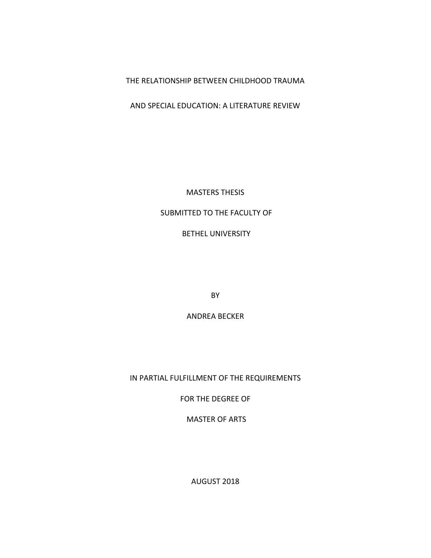# THE RELATIONSHIP BETWEEN CHILDHOOD TRAUMA

AND SPECIAL EDUCATION: A LITERATURE REVIEW

MASTERS THESIS

# SUBMITTED TO THE FACULTY OF

BETHEL UNIVERSITY

BY

ANDREA BECKER

IN PARTIAL FULFILLMENT OF THE REQUIREMENTS

FOR THE DEGREE OF

MASTER OF ARTS

AUGUST 2018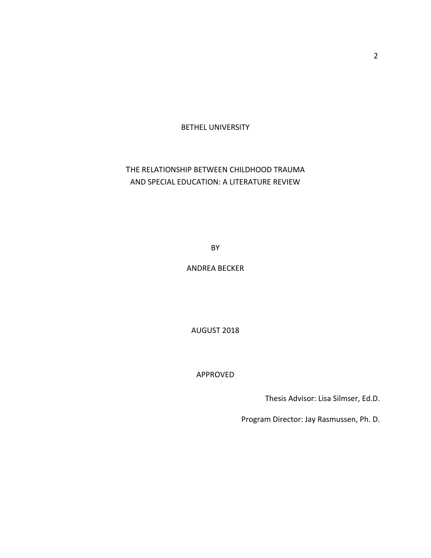BETHEL UNIVERSITY

# THE RELATIONSHIP BETWEEN CHILDHOOD TRAUMA AND SPECIAL EDUCATION: A LITERATURE REVIEW

BY

# ANDREA BECKER

AUGUST 2018

APPROVED

Thesis Advisor: Lisa Silmser, Ed.D.

Program Director: Jay Rasmussen, Ph. D.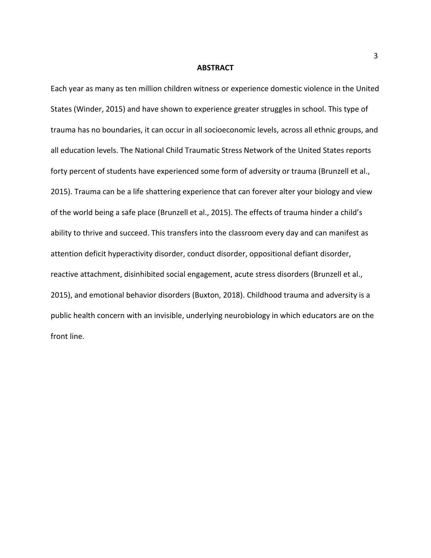#### **ABSTRACT**

Each year as many as ten million children witness or experience domestic violence in the United States (Winder, 2015) and have shown to experience greater struggles in school. This type of trauma has no boundaries, it can occur in all socioeconomic levels, across all ethnic groups, and all education levels. The National Child Traumatic Stress Network of the United States reports forty percent of students have experienced some form of adversity or trauma (Brunzell et al., 2015). Trauma can be a life shattering experience that can forever alter your biology and view of the world being a safe place (Brunzell et al., 2015). The effects of trauma hinder a child's ability to thrive and succeed. This transfers into the classroom every day and can manifest as attention deficit hyperactivity disorder, conduct disorder, oppositional defiant disorder, reactive attachment, disinhibited social engagement, acute stress disorders (Brunzell et al., 2015), and emotional behavior disorders (Buxton, 2018). Childhood trauma and adversity is a public health concern with an invisible, underlying neurobiology in which educators are on the front line.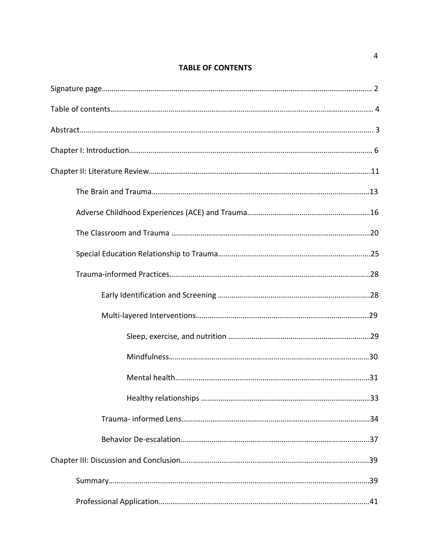# **TABLE OF CONTENTS**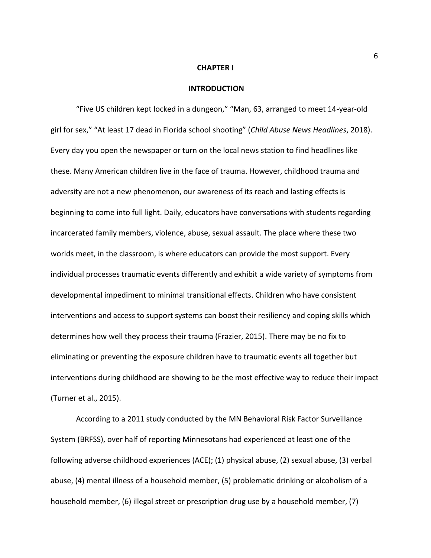#### **CHAPTER I**

#### **INTRODUCTION**

"Five US children kept locked in a dungeon," "Man, 63, arranged to meet 14-year-old girl for sex," "At least 17 dead in Florida school shooting" (*Child Abuse News Headlines*, 2018). Every day you open the newspaper or turn on the local news station to find headlines like these. Many American children live in the face of trauma. However, childhood trauma and adversity are not a new phenomenon, our awareness of its reach and lasting effects is beginning to come into full light. Daily, educators have conversations with students regarding incarcerated family members, violence, abuse, sexual assault. The place where these two worlds meet, in the classroom, is where educators can provide the most support. Every individual processes traumatic events differently and exhibit a wide variety of symptoms from developmental impediment to minimal transitional effects. Children who have consistent interventions and access to support systems can boost their resiliency and coping skills which determines how well they process their trauma (Frazier, 2015). There may be no fix to eliminating or preventing the exposure children have to traumatic events all together but interventions during childhood are showing to be the most effective way to reduce their impact (Turner et al., 2015).

According to a 2011 study conducted by the MN Behavioral Risk Factor Surveillance System (BRFSS), over half of reporting Minnesotans had experienced at least one of the following adverse childhood experiences (ACE); (1) physical abuse, (2) sexual abuse, (3) verbal abuse, (4) mental illness of a household member, (5) problematic drinking or alcoholism of a household member, (6) illegal street or prescription drug use by a household member, (7)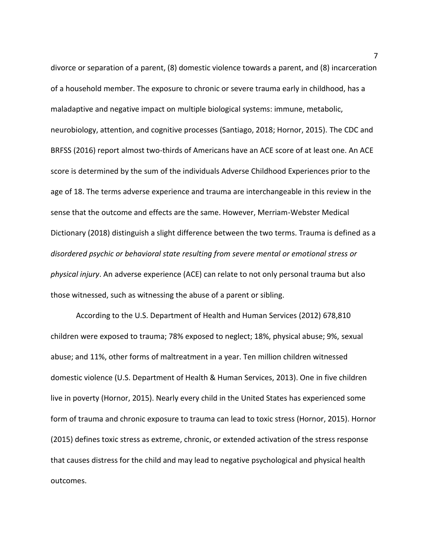divorce or separation of a parent, (8) domestic violence towards a parent, and (8) incarceration of a household member. The exposure to chronic or severe trauma early in childhood, has a maladaptive and negative impact on multiple biological systems: immune, metabolic, neurobiology, attention, and cognitive processes (Santiago, 2018; Hornor, 2015). The CDC and BRFSS (2016) report almost two-thirds of Americans have an ACE score of at least one. An ACE score is determined by the sum of the individuals Adverse Childhood Experiences prior to the age of 18. The terms adverse experience and trauma are interchangeable in this review in the sense that the outcome and effects are the same. However, Merriam-Webster Medical Dictionary (2018) distinguish a slight difference between the two terms. Trauma is defined as a *disordered psychic or behavioral state resulting from severe mental or emotional stress or physical injury*. An adverse experience (ACE) can relate to not only personal trauma but also those witnessed, such as witnessing the abuse of a parent or sibling.

According to the U.S. Department of Health and Human Services (2012) 678,810 children were exposed to trauma; 78% exposed to neglect; 18%, physical abuse; 9%, [sexual](https://www-sciencedirect-com.ezproxy.bethel.edu/topics/medicine-and-dentistry/sexual-abuse)  [abuse;](https://www-sciencedirect-com.ezproxy.bethel.edu/topics/medicine-and-dentistry/sexual-abuse) and 11%, other forms of maltreatment in a year. Ten million children witnessed domestic violence (U.S. Department of Health & Human Services, 2013). One in five children live in poverty (Hornor, 2015). Nearly every child in the United States has experienced some form of trauma and chronic exposure to trauma can lead to toxic stress (Hornor, 2015). Hornor (2015) defines toxic stress as extreme, chronic, or extended activation of the stress response that causes distress for the child and may lead to negative psychological and physical health outcomes.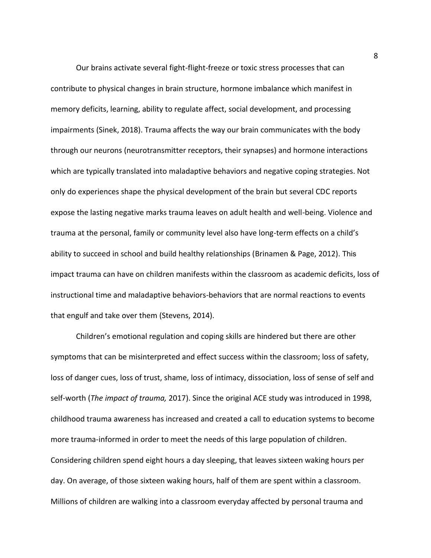Our brains activate several fight-flight-freeze or toxic stress processes that can contribute to physical changes in brain structure, hormone imbalance which manifest in memory deficits, learning, ability to regulate affect, social development, and processing impairments (Sinek, 2018). Trauma affects the way our brain communicates with the body through our neurons (neurotransmitter receptors, their synapses) and hormone interactions which are typically translated into maladaptive behaviors and negative coping strategies. Not only do experiences shape the physical development of the brain but several CDC reports expose the lasting negative marks trauma leaves on adult health and well-being. Violence and trauma at the personal, family or community level also have long-term effects on a child's ability to succeed in school and build healthy relationships (Brinamen & Page, 2012). This impact trauma can have on children manifests within the classroom as academic deficits, loss of instructional time and maladaptive behaviors-behaviors that are normal reactions to events that engulf and take over them (Stevens, 2014).

Children's emotional regulation and coping skills are hindered but there are other symptoms that can be misinterpreted and effect success within the classroom; loss of safety, loss of danger cues, loss of trust, shame, loss of intimacy, dissociation, loss of sense of self and self-worth (*The impact of trauma,* 2017). Since the original ACE study was introduced in 1998, childhood trauma awareness has increased and created a call to education systems to become more trauma-informed in order to meet the needs of this large population of children. Considering children spend eight hours a day sleeping, that leaves sixteen waking hours per day. On average, of those sixteen waking hours, half of them are spent within a classroom. Millions of children are walking into a classroom everyday affected by personal trauma and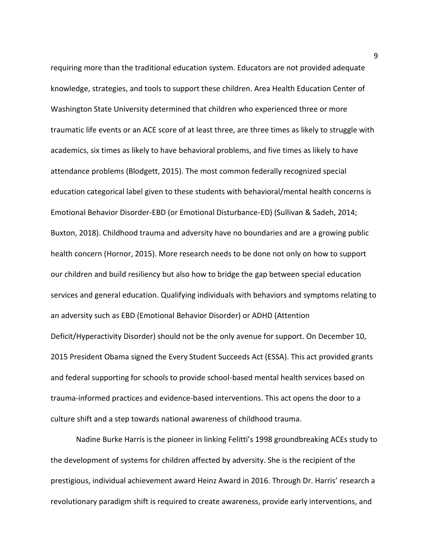requiring more than the traditional education system. Educators are not provided adequate knowledge, strategies, and tools to support these children. Area Health Education Center of Washington State University determined that children who experienced three or more traumatic life events or an ACE score of at least three, are three times as likely to struggle with academics, six times as likely to have behavioral problems, and five times as likely to have attendance problems (Blodgett, 2015). The most common federally recognized special education categorical label given to these students with behavioral/mental health concerns is Emotional Behavior Disorder-EBD (or Emotional Disturbance-ED) (Sullivan & Sadeh, 2014; Buxton, 2018). Childhood trauma and adversity have no boundaries and are a growing public health concern (Hornor, 2015). More research needs to be done not only on how to support our children and build resiliency but also how to bridge the gap between special education services and general education. Qualifying individuals with behaviors and symptoms relating to an adversity such as EBD (Emotional Behavior Disorder) or ADHD (Attention Deficit/Hyperactivity Disorder) should not be the only avenue for support. On December 10, 2015 President Obama signed the Every Student Succeeds Act (ESSA). This act provided grants and federal supporting for schools to provide school-based mental health services based on trauma-informed practices and evidence-based interventions. This act opens the door to a culture shift and a step towards national awareness of childhood trauma.

Nadine Burke Harris is the pioneer in linking Felitti's 1998 groundbreaking ACEs study to the development of systems for children affected by adversity. She is the recipient of the prestigious, individual achievement award Heinz Award in 2016. Through Dr. Harris' research a revolutionary paradigm shift is required to create awareness, provide early interventions, and

9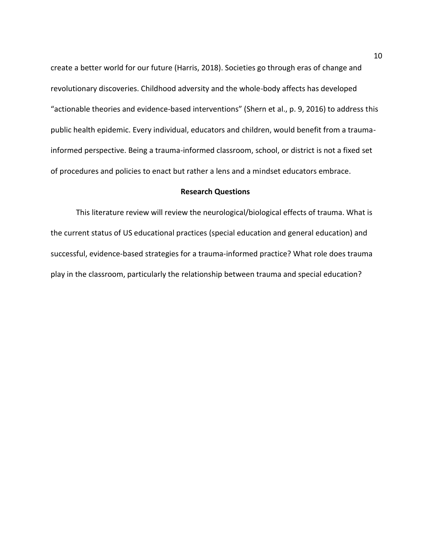create a better world for our future (Harris, 2018). Societies go through eras of change and revolutionary discoveries. Childhood adversity and the whole-body affects has developed "actionable theories and evidence-based interventions" (Shern et al., p. 9, 2016) to address this public health epidemic. Every individual, educators and children, would benefit from a traumainformed perspective. Being a trauma-informed classroom, school, or district is not a fixed set of procedures and policies to enact but rather a lens and a mindset educators embrace.

#### **Research Questions**

This literature review will review the neurological/biological effects of trauma. What is the current status of US educational practices (special education and general education) and successful, evidence-based strategies for a trauma-informed practice? What role does trauma play in the classroom, particularly the relationship between trauma and special education?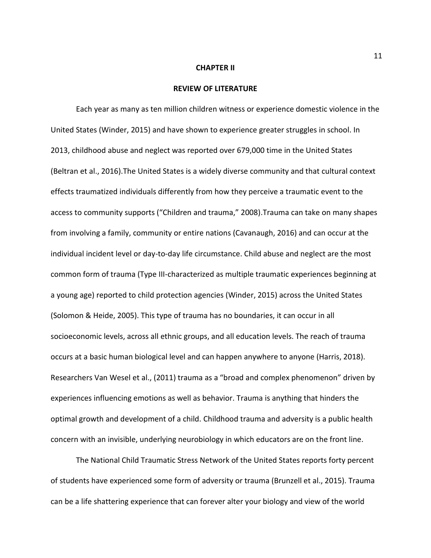#### **CHAPTER II**

#### **REVIEW OF LITERATURE**

Each year as many as ten million children witness or experience domestic violence in the United States (Winder, 2015) and have shown to experience greater struggles in school. In 2013, childhood abuse and neglect was reported over 679,000 time in the United States (Beltran et al., 2016).The United States is a widely diverse community and that cultural context effects traumatized individuals differently from how they perceive a traumatic event to the access to community supports ("Children and trauma," 2008).Trauma can take on many shapes from involving a family, community or entire nations (Cavanaugh, 2016) and can occur at the individual incident level or day-to-day life circumstance. Child abuse and neglect are the most common form of trauma (Type III-characterized as multiple traumatic experiences beginning at a young age) reported to child protection agencies (Winder, 2015) across the United States (Solomon & Heide, 2005). This type of trauma has no boundaries, it can occur in all socioeconomic levels, across all ethnic groups, and all education levels. The reach of trauma occurs at a basic human biological level and can happen anywhere to anyone (Harris, 2018). Researchers Van Wesel et al., (2011) trauma as a "broad and complex phenomenon" driven by experiences influencing emotions as well as behavior. Trauma is anything that hinders the optimal growth and development of a child. Childhood trauma and adversity is a public health concern with an invisible, underlying neurobiology in which educators are on the front line.

The National Child Traumatic Stress Network of the United States reports forty percent of students have experienced some form of adversity or trauma (Brunzell et al., 2015). Trauma can be a life shattering experience that can forever alter your biology and view of the world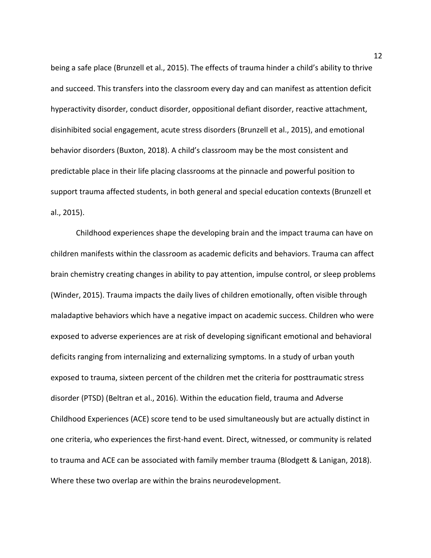being a safe place (Brunzell et al., 2015). The effects of trauma hinder a child's ability to thrive and succeed. This transfers into the classroom every day and can manifest as attention deficit hyperactivity disorder, conduct disorder, oppositional defiant disorder, reactive attachment, disinhibited social engagement, acute stress disorders (Brunzell et al., 2015), and emotional behavior disorders (Buxton, 2018). A child's classroom may be the most consistent and predictable place in their life placing classrooms at the pinnacle and powerful position to support trauma affected students, in both general and special education contexts (Brunzell et al., 2015).

Childhood experiences shape the developing brain and the impact trauma can have on children manifests within the classroom as academic deficits and behaviors. Trauma can affect brain chemistry creating changes in ability to pay attention, impulse control, or sleep problems (Winder, 2015). Trauma impacts the daily lives of children emotionally, often visible through maladaptive behaviors which have a negative impact on academic success. Children who were exposed to adverse experiences are at risk of developing significant emotional and behavioral deficits ranging from internalizing and externalizing symptoms. In a study of urban youth exposed to trauma, sixteen percent of the children met the criteria for posttraumatic stress disorder (PTSD) (Beltran et al., 2016). Within the education field, trauma and Adverse Childhood Experiences (ACE) score tend to be used simultaneously but are actually distinct in one criteria, who experiences the first-hand event. Direct, witnessed, or community is related to trauma and ACE can be associated with family member trauma (Blodgett & Lanigan, 2018). Where these two overlap are within the brains neurodevelopment.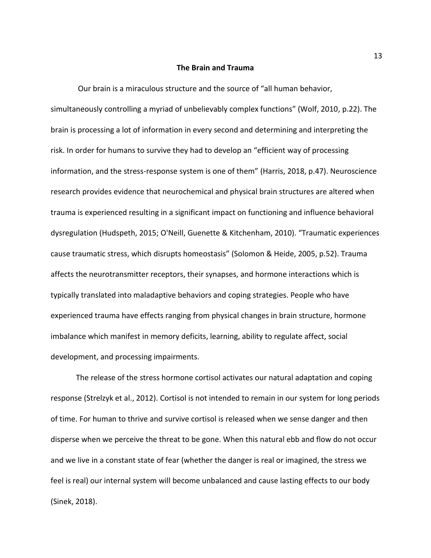#### **The Brain and Trauma**

Our brain is a miraculous structure and the source of "all human behavior, simultaneously controlling a myriad of unbelievably complex functions" (Wolf, 2010, p.22). The brain is processing a lot of information in every second and determining and interpreting the risk. In order for humans to survive they had to develop an "efficient way of processing information, and the stress-response system is one of them" (Harris, 2018, p.47). Neuroscience research provides evidence that neurochemical and physical brain structures are altered when trauma is experienced resulting in a significant impact on functioning and influence behavioral dysregulation (Hudspeth, 2015; O'Neill, Guenette & Kitchenham, 2010). "Traumatic experiences cause traumatic stress, which disrupts homeostasis" (Solomon & Heide, 2005, p.52). Trauma affects the neurotransmitter receptors, their synapses, and hormone interactions which is typically translated into maladaptive behaviors and coping strategies. People who have experienced trauma have effects ranging from physical changes in brain structure, hormone imbalance which manifest in memory deficits, learning, ability to regulate affect, social development, and processing impairments.

The release of the stress hormone cortisol activates our natural adaptation and coping response (Strelzyk et al., 2012). Cortisol is not intended to remain in our system for long periods of time. For human to thrive and survive cortisol is released when we sense danger and then disperse when we perceive the threat to be gone. When this natural ebb and flow do not occur and we live in a constant state of fear (whether the danger is real or imagined, the stress we feel is real) our internal system will become unbalanced and cause lasting effects to our body (Sinek, 2018).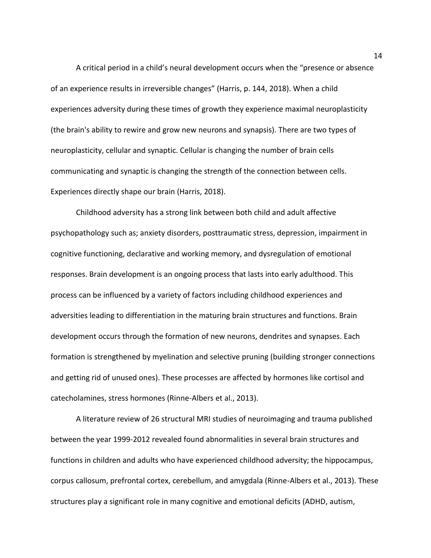A critical period in a child's neural development occurs when the "presence or absence of an experience results in irreversible changes" (Harris, p. 144, 2018). When a child experiences adversity during these times of growth they experience maximal neuroplasticity (the brain's ability to rewire and grow new neurons and synapsis). There are two types of neuroplasticity, cellular and synaptic. Cellular is changing the number of brain cells communicating and synaptic is changing the strength of the connection between cells. Experiences directly shape our brain (Harris, 2018).

Childhood adversity has a strong link between both child and adult affective psychopathology such as; anxiety disorders, posttraumatic stress, depression, impairment in cognitive functioning, declarative and working memory, and dysregulation of emotional responses. Brain development is an ongoing process that lasts into early adulthood. This process can be influenced by a variety of factors including childhood experiences and adversities leading to differentiation in the maturing brain structures and functions. Brain development occurs through the formation of new neurons, dendrites and synapses. Each formation is strengthened by myelination and selective pruning (building stronger connections and getting rid of unused ones). These processes are affected by hormones like cortisol and catecholamines, stress hormones (Rinne-Albers et al., 2013).

A literature review of 26 structural MRI studies of neuroimaging and trauma published between the year 1999-2012 revealed found abnormalities in several brain structures and functions in children and adults who have experienced childhood adversity; the hippocampus, corpus callosum, prefrontal cortex, cerebellum, and amygdala (Rinne-Albers et al., 2013). These structures play a significant role in many cognitive and emotional deficits (ADHD, autism,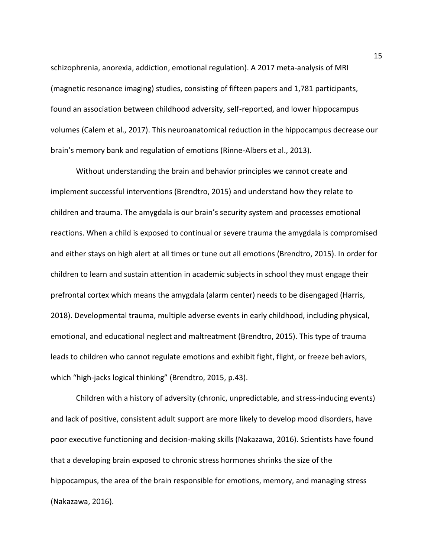schizophrenia, anorexia, addiction, emotional regulation). A 2017 meta-analysis of MRI (magnetic resonance imaging) studies, consisting of fifteen papers and 1,781 participants, found an association between childhood adversity, self-reported, and lower hippocampus volumes (Calem et al., 2017). This neuroanatomical reduction in the hippocampus decrease our brain's memory bank and regulation of emotions (Rinne-Albers et al., 2013).

Without understanding the brain and behavior principles we cannot create and implement successful interventions (Brendtro, 2015) and understand how they relate to children and trauma. The amygdala is our brain's security system and processes emotional reactions. When a child is exposed to continual or severe trauma the amygdala is compromised and either stays on high alert at all times or tune out all emotions (Brendtro, 2015). In order for children to learn and sustain attention in academic subjects in school they must engage their prefrontal cortex which means the amygdala (alarm center) needs to be disengaged (Harris, 2018). Developmental trauma, multiple adverse events in early childhood, including physical, emotional, and educational neglect and maltreatment (Brendtro, 2015). This type of trauma leads to children who cannot regulate emotions and exhibit fight, flight, or freeze behaviors, which "high-jacks logical thinking" (Brendtro, 2015, p.43).

Children with a history of adversity (chronic, unpredictable, and stress-inducing events) and lack of positive, consistent adult support are more likely to develop mood disorders, have poor executive functioning and decision-making skills (Nakazawa, 2016). Scientists have found that a developing brain exposed to chronic stress hormones shrinks the size of the hippocampus, the area of the brain responsible for emotions, memory, and managing stress (Nakazawa, 2016).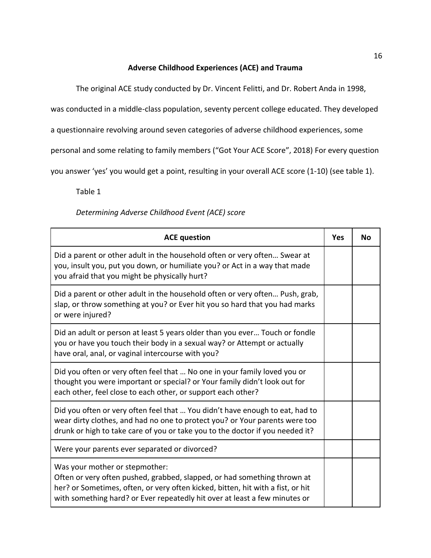# **Adverse Childhood Experiences (ACE) and Trauma**

The original ACE study conducted by Dr. Vincent Felitti, and Dr. Robert Anda in 1998,

was conducted in a middle-class population, seventy percent college educated. They developed

a questionnaire revolving around seven categories of adverse childhood experiences, some

personal and some relating to family members ("Got Your ACE Score", 2018) For every question

you answer 'yes' you would get a point, resulting in your overall ACE score (1-10) (see table 1).

Table 1

# *Determining Adverse Childhood Event (ACE) score*

| <b>ACE question</b>                                                                                                                                                                                                                                                         | Yes | <b>No</b> |
|-----------------------------------------------------------------------------------------------------------------------------------------------------------------------------------------------------------------------------------------------------------------------------|-----|-----------|
| Did a parent or other adult in the household often or very often Swear at<br>you, insult you, put you down, or humiliate you? or Act in a way that made<br>you afraid that you might be physically hurt?                                                                    |     |           |
| Did a parent or other adult in the household often or very often Push, grab,<br>slap, or throw something at you? or Ever hit you so hard that you had marks<br>or were injured?                                                                                             |     |           |
| Did an adult or person at least 5 years older than you ever Touch or fondle<br>you or have you touch their body in a sexual way? or Attempt or actually<br>have oral, anal, or vaginal intercourse with you?                                                                |     |           |
| Did you often or very often feel that  No one in your family loved you or<br>thought you were important or special? or Your family didn't look out for<br>each other, feel close to each other, or support each other?                                                      |     |           |
| Did you often or very often feel that  You didn't have enough to eat, had to<br>wear dirty clothes, and had no one to protect you? or Your parents were too<br>drunk or high to take care of you or take you to the doctor if you needed it?                                |     |           |
| Were your parents ever separated or divorced?                                                                                                                                                                                                                               |     |           |
| Was your mother or stepmother:<br>Often or very often pushed, grabbed, slapped, or had something thrown at<br>her? or Sometimes, often, or very often kicked, bitten, hit with a fist, or hit<br>with something hard? or Ever repeatedly hit over at least a few minutes or |     |           |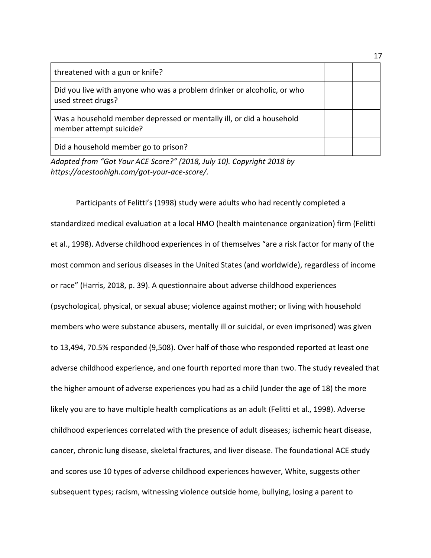| threatened with a gun or knife?                                                                 |  |
|-------------------------------------------------------------------------------------------------|--|
| Did you live with anyone who was a problem drinker or alcoholic, or who<br>used street drugs?   |  |
| Was a household member depressed or mentally ill, or did a household<br>member attempt suicide? |  |
| Did a household member go to prison?                                                            |  |

*Adapted from "Got Your ACE Score?" (2018, July 10). Copyright 2018 by https://acestoohigh.com/got-your-ace-score/.*

Participants of Felitti's (1998) study were adults who had recently completed a standardized medical evaluation at a local HMO (health maintenance organization) firm (Felitti et al., 1998). Adverse childhood experiences in of themselves "are a risk factor for many of the most common and serious diseases in the United States (and worldwide), regardless of income or race" (Harris, 2018, p. 39). A questionnaire about adverse childhood experiences (psychological, physical, or sexual abuse; violence against mother; or living with household members who were substance abusers, mentally ill or suicidal, or even imprisoned) was given to 13,494, 70.5% responded (9,508). Over half of those who responded reported at least one adverse childhood experience, and one fourth reported more than two. The study revealed that the higher amount of adverse experiences you had as a child (under the age of 18) the more likely you are to have multiple health complications as an adult (Felitti et al., 1998). Adverse childhood experiences correlated with the presence of adult diseases; ischemic heart disease, cancer, chronic lung disease, skeletal fractures, and liver disease. The foundational ACE study and scores use 10 types of adverse childhood experiences however, White, suggests other subsequent types; racism, witnessing violence outside home, bullying, losing a parent to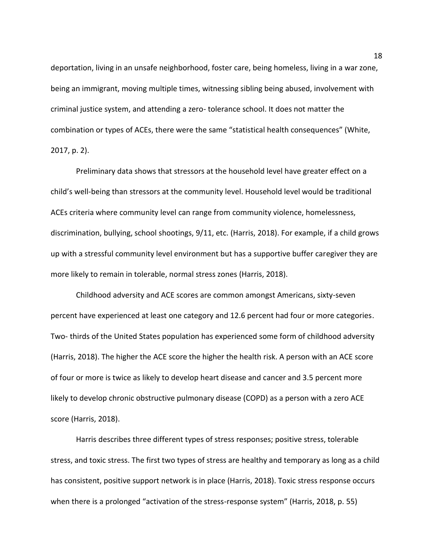deportation, living in an unsafe neighborhood, foster care, being homeless, living in a war zone, being an immigrant, moving multiple times, witnessing sibling being abused, involvement with criminal justice system, and attending a zero- tolerance school. It does not matter the combination or types of ACEs, there were the same "statistical health consequences" (White, 2017, p. 2).

Preliminary data shows that stressors at the household level have greater effect on a child's well-being than stressors at the community level. Household level would be traditional ACEs criteria where community level can range from community violence, homelessness, discrimination, bullying, school shootings, 9/11, etc. (Harris, 2018). For example, if a child grows up with a stressful community level environment but has a supportive buffer caregiver they are more likely to remain in tolerable, normal stress zones (Harris, 2018).

Childhood adversity and ACE scores are common amongst Americans, sixty-seven percent have experienced at least one category and 12.6 percent had four or more categories. Two- thirds of the United States population has experienced some form of childhood adversity (Harris, 2018). The higher the ACE score the higher the health risk. A person with an ACE score of four or more is twice as likely to develop heart disease and cancer and 3.5 percent more likely to develop chronic obstructive pulmonary disease (COPD) as a person with a zero ACE score (Harris, 2018).

Harris describes three different types of stress responses; positive stress, tolerable stress, and toxic stress. The first two types of stress are healthy and temporary as long as a child has consistent, positive support network is in place (Harris, 2018). Toxic stress response occurs when there is a prolonged "activation of the stress-response system" (Harris, 2018, p. 55)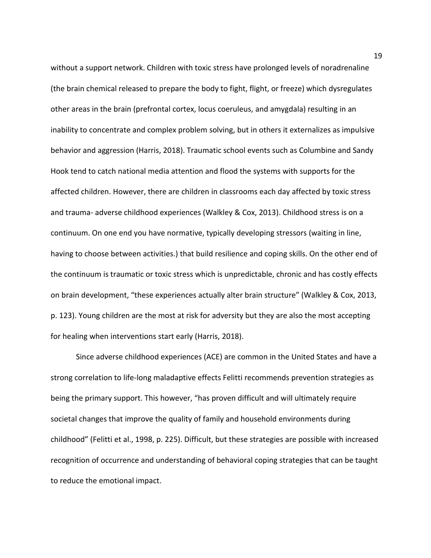without a support network. Children with toxic stress have prolonged levels of noradrenaline (the brain chemical released to prepare the body to fight, flight, or freeze) which dysregulates other areas in the brain (prefrontal cortex, locus coeruleus, and amygdala) resulting in an inability to concentrate and complex problem solving, but in others it externalizes as impulsive behavior and aggression (Harris, 2018). Traumatic school events such as Columbine and Sandy Hook tend to catch national media attention and flood the systems with supports for the affected children. However, there are children in classrooms each day affected by toxic stress and trauma- adverse childhood experiences (Walkley & Cox, 2013). Childhood stress is on a continuum. On one end you have normative, typically developing stressors (waiting in line, having to choose between activities.) that build resilience and coping skills. On the other end of the continuum is traumatic or toxic stress which is unpredictable, chronic and has costly effects on brain development, "these experiences actually alter brain structure" (Walkley & Cox, 2013, p. 123). Young children are the most at risk for adversity but they are also the most accepting for healing when interventions start early (Harris, 2018).

Since adverse childhood experiences (ACE) are common in the United States and have a strong correlation to life-long maladaptive effects Felitti recommends prevention strategies as being the primary support. This however, "has proven difficult and will ultimately require societal changes that improve the quality of family and household environments during childhood" (Felitti et al., 1998, p. 225). Difficult, but these strategies are possible with increased recognition of occurrence and understanding of behavioral coping strategies that can be taught to reduce the emotional impact.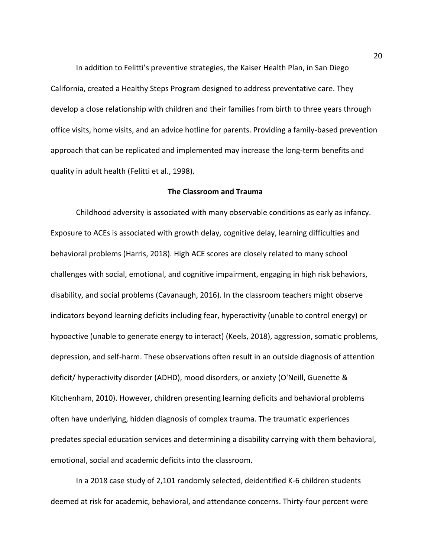In addition to Felitti's preventive strategies, the Kaiser Health Plan, in San Diego California, created a Healthy Steps Program designed to address preventative care. They develop a close relationship with children and their families from birth to three years through office visits, home visits, and an advice hotline for parents. Providing a family-based prevention approach that can be replicated and implemented may increase the long-term benefits and quality in adult health (Felitti et al., 1998).

#### **The Classroom and Trauma**

Childhood adversity is associated with many observable conditions as early as infancy. Exposure to ACEs is associated with growth delay, cognitive delay, learning difficulties and behavioral problems (Harris, 2018). High ACE scores are closely related to many school challenges with social, emotional, and cognitive impairment, engaging in high risk behaviors, disability, and social problems (Cavanaugh, 2016). In the classroom teachers might observe indicators beyond learning deficits including fear, hyperactivity (unable to control energy) or hypoactive (unable to generate energy to interact) (Keels, 2018), aggression, somatic problems, depression, and self-harm. These observations often result in an outside diagnosis of attention deficit/ hyperactivity disorder (ADHD), mood disorders, or anxiety (O'Neill, Guenette & Kitchenham, 2010). However, children presenting learning deficits and behavioral problems often have underlying, hidden diagnosis of complex trauma. The traumatic experiences predates special education services and determining a disability carrying with them behavioral, emotional, social and academic deficits into the classroom.

In a 2018 case study of 2,101 randomly selected, deidentified K-6 children students deemed at risk for academic, behavioral, and attendance concerns. Thirty-four percent were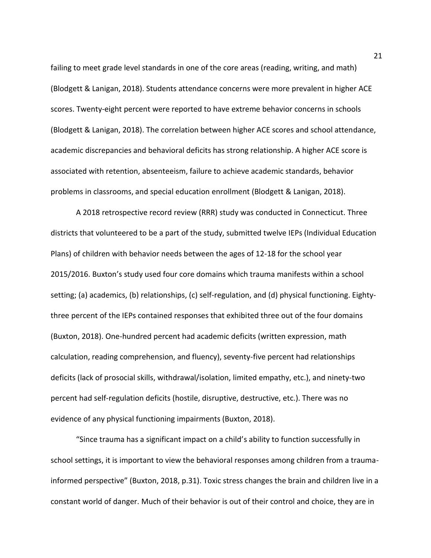failing to meet grade level standards in one of the core areas (reading, writing, and math) (Blodgett & Lanigan, 2018). Students attendance concerns were more prevalent in higher ACE scores. Twenty-eight percent were reported to have extreme behavior concerns in schools (Blodgett & Lanigan, 2018). The correlation between higher ACE scores and school attendance, academic discrepancies and behavioral deficits has strong relationship. A higher ACE score is associated with retention, absenteeism, failure to achieve academic standards, behavior problems in classrooms, and special education enrollment (Blodgett & Lanigan, 2018).

A 2018 retrospective record review (RRR) study was conducted in Connecticut. Three districts that volunteered to be a part of the study, submitted twelve IEPs (Individual Education Plans) of children with behavior needs between the ages of 12-18 for the school year 2015/2016. Buxton's study used four core domains which trauma manifests within a school setting; (a) academics, (b) relationships, (c) self-regulation, and (d) physical functioning. Eightythree percent of the IEPs contained responses that exhibited three out of the four domains (Buxton, 2018). One-hundred percent had academic deficits (written expression, math calculation, reading comprehension, and fluency), seventy-five percent had relationships deficits (lack of prosocial skills, withdrawal/isolation, limited empathy, etc.), and ninety-two percent had self-regulation deficits (hostile, disruptive, destructive, etc.). There was no evidence of any physical functioning impairments (Buxton, 2018).

"Since trauma has a significant impact on a child's ability to function successfully in school settings, it is important to view the behavioral responses among children from a traumainformed perspective" (Buxton, 2018, p.31). Toxic stress changes the brain and children live in a constant world of danger. Much of their behavior is out of their control and choice, they are in

21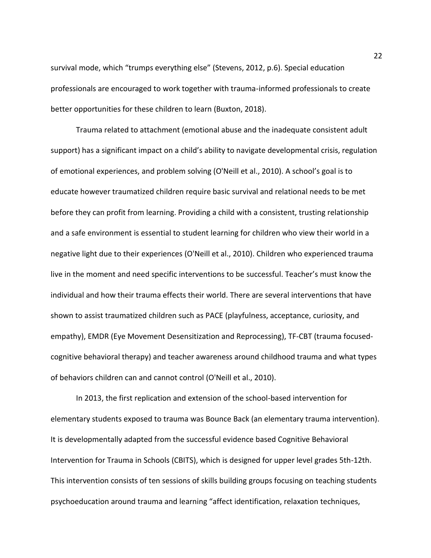survival mode, which "trumps everything else" (Stevens, 2012, p.6). Special education professionals are encouraged to work together with trauma-informed professionals to create better opportunities for these children to learn (Buxton, 2018).

Trauma related to attachment (emotional abuse and the inadequate consistent adult support) has a significant impact on a child's ability to navigate developmental crisis, regulation of emotional experiences, and problem solving (O'Neill et al., 2010). A school's goal is to educate however traumatized children require basic survival and relational needs to be met before they can profit from learning. Providing a child with a consistent, trusting relationship and a safe environment is essential to student learning for children who view their world in a negative light due to their experiences (O'Neill et al., 2010). Children who experienced trauma live in the moment and need specific interventions to be successful. Teacher's must know the individual and how their trauma effects their world. There are several interventions that have shown to assist traumatized children such as PACE (playfulness, acceptance, curiosity, and empathy), EMDR (Eye Movement Desensitization and Reprocessing), TF-CBT (trauma focusedcognitive behavioral therapy) and teacher awareness around childhood trauma and what types of behaviors children can and cannot control (O'Neill et al., 2010).

In 2013, the first replication and extension of the school-based intervention for elementary students exposed to trauma was Bounce Back (an elementary trauma intervention). It is developmentally adapted from the successful evidence based Cognitive Behavioral Intervention for Trauma in Schools (CBITS), which is designed for upper level grades 5th-12th. This intervention consists of ten sessions of skills building groups focusing on teaching students psychoeducation around trauma and learning "affect identification, relaxation techniques,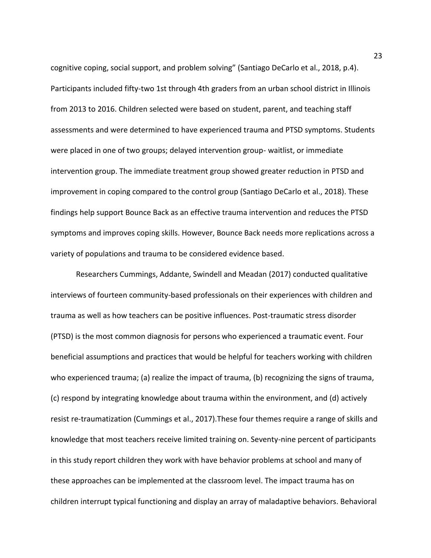cognitive coping, social support, and problem solving" (Santiago DeCarlo et al., 2018, p.4). Participants included fifty-two 1st through 4th graders from an urban school district in Illinois from 2013 to 2016. Children selected were based on student, parent, and teaching staff assessments and were determined to have experienced trauma and PTSD symptoms. Students were placed in one of two groups; delayed intervention group- waitlist, or immediate intervention group. The immediate treatment group showed greater reduction in PTSD and improvement in coping compared to the control group (Santiago DeCarlo et al., 2018). These findings help support Bounce Back as an effective trauma intervention and reduces the PTSD symptoms and improves coping skills. However, Bounce Back needs more replications across a variety of populations and trauma to be considered evidence based.

Researchers Cummings, Addante, Swindell and Meadan (2017) conducted qualitative interviews of fourteen community-based professionals on their experiences with children and trauma as well as how teachers can be positive influences. Post-traumatic stress disorder (PTSD) is the most common diagnosis for persons who experienced a traumatic event. Four beneficial assumptions and practices that would be helpful for teachers working with children who experienced trauma; (a) realize the impact of trauma, (b) recognizing the signs of trauma, (c) respond by integrating knowledge about trauma within the environment, and (d) actively resist re-traumatization (Cummings et al., 2017).These four themes require a range of skills and knowledge that most teachers receive limited training on. Seventy-nine percent of participants in this study report children they work with have behavior problems at school and many of these approaches can be implemented at the classroom level. The impact trauma has on children interrupt typical functioning and display an array of maladaptive behaviors. Behavioral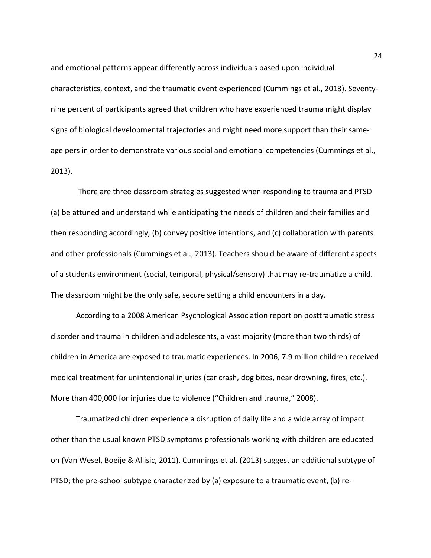and emotional patterns appear differently across individuals based upon individual characteristics, context, and the traumatic event experienced (Cummings et al., 2013). Seventynine percent of participants agreed that children who have experienced trauma might display signs of biological developmental trajectories and might need more support than their sameage pers in order to demonstrate various social and emotional competencies (Cummings et al., 2013).

There are three classroom strategies suggested when responding to trauma and PTSD (a) be attuned and understand while anticipating the needs of children and their families and then responding accordingly, (b) convey positive intentions, and (c) collaboration with parents and other professionals (Cummings et al., 2013). Teachers should be aware of different aspects of a students environment (social, temporal, physical/sensory) that may re-traumatize a child. The classroom might be the only safe, secure setting a child encounters in a day.

According to a 2008 American Psychological Association report on posttraumatic stress disorder and trauma in children and adolescents, a vast majority (more than two thirds) of children in America are exposed to traumatic experiences. In 2006, 7.9 million children received medical treatment for unintentional injuries (car crash, dog bites, near drowning, fires, etc.). More than 400,000 for injuries due to violence ("Children and trauma," 2008).

Traumatized children experience a disruption of daily life and a wide array of impact other than the usual known PTSD symptoms professionals working with children are educated on (Van Wesel, Boeije & Allisic, 2011). Cummings et al. (2013) suggest an additional subtype of PTSD; the pre-school subtype characterized by (a) exposure to a traumatic event, (b) re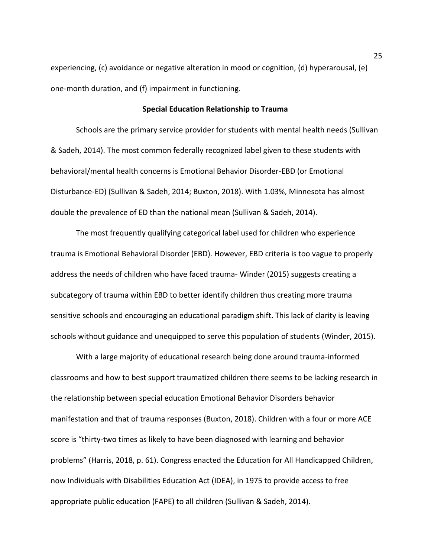experiencing, (c) avoidance or negative alteration in mood or cognition, (d) hyperarousal, (e) one-month duration, and (f) impairment in functioning.

#### **Special Education Relationship to Trauma**

Schools are the primary service provider for students with mental health needs (Sullivan & Sadeh, 2014). The most common federally recognized label given to these students with behavioral/mental health concerns is Emotional Behavior Disorder-EBD (or Emotional Disturbance-ED) (Sullivan & Sadeh, 2014; Buxton, 2018). With 1.03%, Minnesota has almost double the prevalence of ED than the national mean (Sullivan & Sadeh, 2014).

The most frequently qualifying categorical label used for children who experience trauma is Emotional Behavioral Disorder (EBD). However, EBD criteria is too vague to properly address the needs of children who have faced trauma- Winder (2015) suggests creating a subcategory of trauma within EBD to better identify children thus creating more trauma sensitive schools and encouraging an educational paradigm shift. This lack of clarity is leaving schools without guidance and unequipped to serve this population of students (Winder, 2015).

With a large majority of educational research being done around trauma-informed classrooms and how to best support traumatized children there seems to be lacking research in the relationship between special education Emotional Behavior Disorders behavior manifestation and that of trauma responses (Buxton, 2018). Children with a four or more ACE score is "thirty-two times as likely to have been diagnosed with learning and behavior problems" (Harris, 2018, p. 61). Congress enacted the Education for All Handicapped Children, now Individuals with Disabilities Education Act (IDEA), in 1975 to provide access to free appropriate public education (FAPE) to all children (Sullivan & Sadeh, 2014).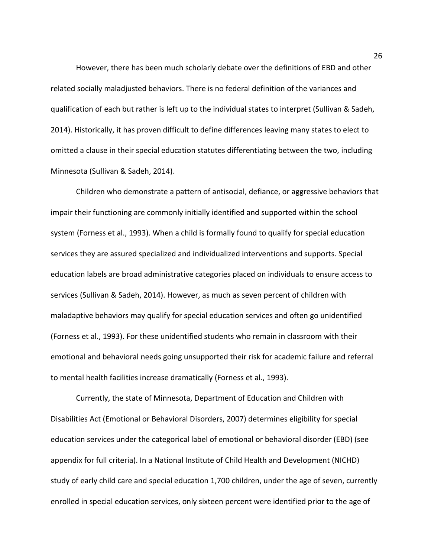However, there has been much scholarly debate over the definitions of EBD and other related socially maladjusted behaviors. There is no federal definition of the variances and qualification of each but rather is left up to the individual states to interpret (Sullivan & Sadeh, 2014). Historically, it has proven difficult to define differences leaving many states to elect to omitted a clause in their special education statutes differentiating between the two, including Minnesota (Sullivan & Sadeh, 2014).

Children who demonstrate a pattern of antisocial, defiance, or aggressive behaviors that impair their functioning are commonly initially identified and supported within the school system (Forness et al., 1993). When a child is formally found to qualify for special education services they are assured specialized and individualized interventions and supports. Special education labels are broad administrative categories placed on individuals to ensure access to services (Sullivan & Sadeh, 2014). However, as much as seven percent of children with maladaptive behaviors may qualify for special education services and often go unidentified (Forness et al., 1993). For these unidentified students who remain in classroom with their emotional and behavioral needs going unsupported their risk for academic failure and referral to mental health facilities increase dramatically (Forness et al., 1993).

Currently, the state of Minnesota, Department of Education and Children with Disabilities Act (Emotional or Behavioral Disorders, 2007) determines eligibility for special education services under the categorical label of emotional or behavioral disorder (EBD) (see appendix for full criteria). In a National Institute of Child Health and Development (NICHD) study of early child care and special education 1,700 children, under the age of seven, currently enrolled in special education services, only sixteen percent were identified prior to the age of

26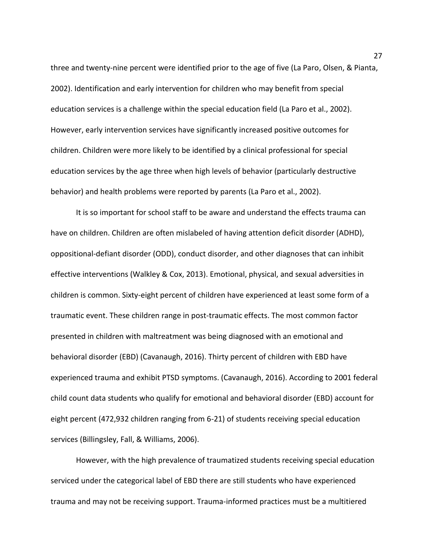three and twenty-nine percent were identified prior to the age of five (La Paro, Olsen, & Pianta, 2002). Identification and early intervention for children who may benefit from special education services is a challenge within the special education field (La Paro et al., 2002). However, early intervention services have significantly increased positive outcomes for children. Children were more likely to be identified by a clinical professional for special education services by the age three when high levels of behavior (particularly destructive behavior) and health problems were reported by parents (La Paro et al., 2002).

It is so important for school staff to be aware and understand the effects trauma can have on children. Children are often mislabeled of having attention deficit disorder (ADHD), oppositional-defiant disorder (ODD), conduct disorder, and other diagnoses that can inhibit effective interventions (Walkley & Cox, 2013). Emotional, physical, and sexual adversities in children is common. Sixty-eight percent of children have experienced at least some form of a traumatic event. These children range in post-traumatic effects. The most common factor presented in children with maltreatment was being diagnosed with an emotional and behavioral disorder (EBD) (Cavanaugh, 2016). Thirty percent of children with EBD have experienced trauma and exhibit PTSD symptoms. (Cavanaugh, 2016). According to 2001 federal child count data students who qualify for emotional and behavioral disorder (EBD) account for eight percent (472,932 children ranging from 6-21) of students receiving special education services (Billingsley, Fall, & Williams, 2006).

However, with the high prevalence of traumatized students receiving special education serviced under the categorical label of EBD there are still students who have experienced trauma and may not be receiving support. Trauma-informed practices must be a multitiered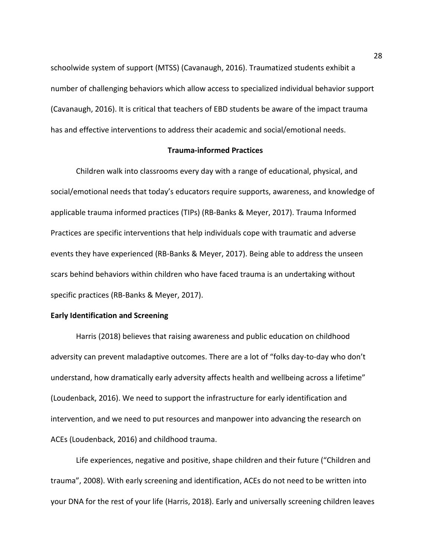schoolwide system of support (MTSS) (Cavanaugh, 2016). Traumatized students exhibit a number of challenging behaviors which allow access to specialized individual behavior support (Cavanaugh, 2016). It is critical that teachers of EBD students be aware of the impact trauma has and effective interventions to address their academic and social/emotional needs.

## **Trauma-informed Practices**

Children walk into classrooms every day with a range of educational, physical, and social/emotional needs that today's educators require supports, awareness, and knowledge of applicable trauma informed practices (TIPs) (RB-Banks & Meyer, 2017). Trauma Informed Practices are specific interventions that help individuals cope with traumatic and adverse events they have experienced (RB-Banks & Meyer, 2017). Being able to address the unseen scars behind behaviors within children who have faced trauma is an undertaking without specific practices (RB-Banks & Meyer, 2017).

## **Early Identification and Screening**

Harris (2018) believes that raising awareness and public education on childhood adversity can prevent maladaptive outcomes. There are a lot of "folks day-to-day who don't understand, how dramatically early adversity affects health and wellbeing across a lifetime" (Loudenback, 2016). We need to support the infrastructure for early identification and intervention, and we need to put resources and manpower into advancing the research on ACEs (Loudenback, 2016) and childhood trauma.

Life experiences, negative and positive, shape children and their future ("Children and trauma", 2008). With early screening and identification, ACEs do not need to be written into your DNA for the rest of your life (Harris, 2018). Early and universally screening children leaves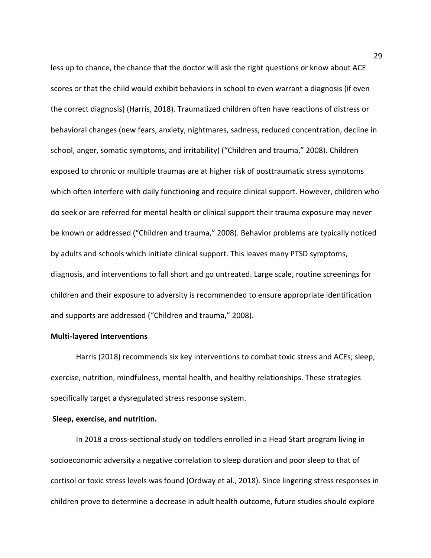less up to chance, the chance that the doctor will ask the right questions or know about ACE scores or that the child would exhibit behaviors in school to even warrant a diagnosis (if even the correct diagnosis) (Harris, 2018). Traumatized children often have reactions of distress or behavioral changes (new fears, anxiety, nightmares, sadness, reduced concentration, decline in school, anger, somatic symptoms, and irritability) ("Children and trauma," 2008). Children exposed to chronic or multiple traumas are at higher risk of posttraumatic stress symptoms which often interfere with daily functioning and require clinical support. However, children who do seek or are referred for mental health or clinical support their trauma exposure may never be known or addressed ("Children and trauma," 2008). Behavior problems are typically noticed by adults and schools which initiate clinical support. This leaves many PTSD symptoms, diagnosis, and interventions to fall short and go untreated. Large scale, routine screenings for children and their exposure to adversity is recommended to ensure appropriate identification and supports are addressed ("Children and trauma," 2008).

### **Multi-layered Interventions**

Harris (2018) recommends six key interventions to combat toxic stress and ACEs; sleep, exercise, nutrition, mindfulness, mental health, and healthy relationships. These strategies specifically target a dysregulated stress response system.

## **Sleep, exercise, and nutrition.**

In 2018 a cross-sectional study on toddlers enrolled in a Head Start program living in socioeconomic adversity a negative correlation to sleep duration and poor sleep to that of cortisol or toxic stress levels was found (Ordway et al., 2018). Since lingering stress responses in children prove to determine a decrease in adult health outcome, future studies should explore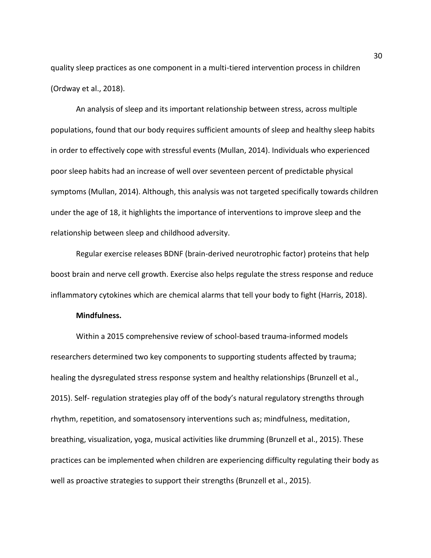quality sleep practices as one component in a multi-tiered intervention process in children (Ordway et al., 2018).

An analysis of sleep and its important relationship between stress, across multiple populations, found that our body requires sufficient amounts of sleep and healthy sleep habits in order to effectively cope with stressful events (Mullan, 2014). Individuals who experienced poor sleep habits had an increase of well over seventeen percent of predictable physical symptoms (Mullan, 2014). Although, this analysis was not targeted specifically towards children under the age of 18, it highlights the importance of interventions to improve sleep and the relationship between sleep and childhood adversity.

Regular exercise releases BDNF (brain-derived neurotrophic factor) proteins that help boost brain and nerve cell growth. Exercise also helps regulate the stress response and reduce inflammatory cytokines which are chemical alarms that tell your body to fight (Harris, 2018).

#### **Mindfulness.**

Within a 2015 comprehensive review of school-based trauma-informed models researchers determined two key components to supporting students affected by trauma; healing the dysregulated stress response system and healthy relationships (Brunzell et al., 2015). Self- regulation strategies play off of the body's natural regulatory strengths through rhythm, repetition, and somatosensory interventions such as; mindfulness, meditation, breathing, visualization, yoga, musical activities like drumming (Brunzell et al., 2015). These practices can be implemented when children are experiencing difficulty regulating their body as well as proactive strategies to support their strengths (Brunzell et al., 2015).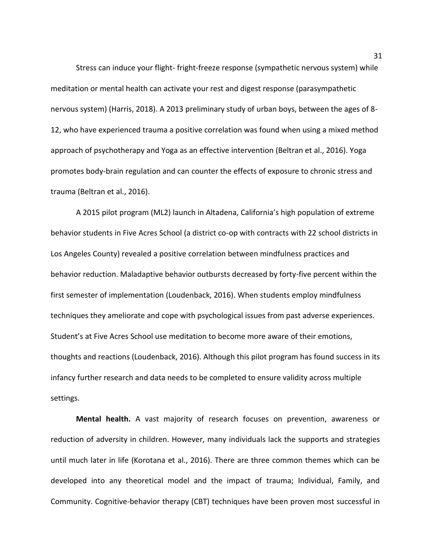Stress can induce your flight- fright-freeze response (sympathetic nervous system) while meditation or mental health can activate your rest and digest response (parasympathetic nervous system) (Harris, 2018). A 2013 preliminary study of urban boys, between the ages of 8- 12, who have experienced trauma a positive correlation was found when using a mixed method approach of psychotherapy and Yoga as an effective intervention (Beltran et al., 2016). Yoga promotes body-brain regulation and can counter the effects of exposure to chronic stress and trauma (Beltran et al., 2016).

A 2015 pilot program (ML2) launch in Altadena, California's high population of extreme behavior students in Five Acres School (a district co-op with contracts with 22 school districts in Los Angeles County) revealed a positive correlation between mindfulness practices and behavior reduction. Maladaptive behavior outbursts decreased by forty-five percent within the first semester of implementation (Loudenback, 2016). When students employ mindfulness techniques they ameliorate and cope with psychological issues from past adverse experiences. Student's at Five Acres School use meditation to become more aware of their emotions, thoughts and reactions (Loudenback, 2016). Although this pilot program has found success in its infancy further research and data needs to be completed to ensure validity across multiple settings.

**Mental health.** A vast majority of research focuses on prevention, awareness or reduction of adversity in children. However, many individuals lack the supports and strategies until much later in life (Korotana et al., 2016). There are three common themes which can be developed into any theoretical model and the impact of trauma; Individual, Family, and Community. Cognitive-behavior therapy (CBT) techniques have been proven most successful in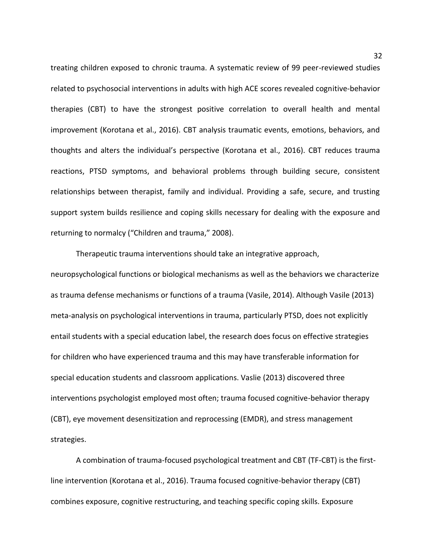treating children exposed to chronic trauma. A systematic review of 99 peer-reviewed studies related to psychosocial interventions in adults with high ACE scores revealed cognitive-behavior therapies (CBT) to have the strongest positive correlation to overall health and mental improvement (Korotana et al., 2016). CBT analysis traumatic events, emotions, behaviors, and thoughts and alters the individual's perspective (Korotana et al., 2016). CBT reduces trauma reactions, PTSD symptoms, and behavioral problems through building secure, consistent relationships between therapist, family and individual. Providing a safe, secure, and trusting support system builds resilience and coping skills necessary for dealing with the exposure and returning to normalcy ("Children and trauma," 2008).

Therapeutic trauma interventions should take an integrative approach, neuropsychological functions or biological mechanisms as well as the behaviors we characterize as trauma defense mechanisms or functions of a trauma (Vasile, 2014). Although Vasile (2013) meta-analysis on psychological interventions in trauma, particularly PTSD, does not explicitly entail students with a special education label, the research does focus on effective strategies for children who have experienced trauma and this may have transferable information for special education students and classroom applications. Vaslie (2013) discovered three interventions psychologist employed most often; trauma focused cognitive-behavior therapy (CBT), eye movement desensitization and reprocessing (EMDR), and stress management strategies.

A combination of trauma-focused psychological treatment and CBT (TF-CBT) is the firstline intervention (Korotana et al., 2016). Trauma focused cognitive-behavior therapy (CBT) combines exposure, cognitive restructuring, and teaching specific coping skills. Exposure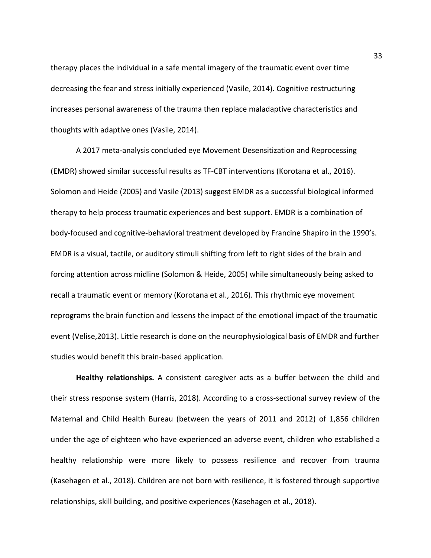therapy places the individual in a safe mental imagery of the traumatic event over time decreasing the fear and stress initially experienced (Vasile, 2014). Cognitive restructuring increases personal awareness of the trauma then replace maladaptive characteristics and thoughts with adaptive ones (Vasile, 2014).

A 2017 meta-analysis concluded eye Movement Desensitization and Reprocessing (EMDR) showed similar successful results as TF-CBT interventions (Korotana et al., 2016). Solomon and Heide (2005) and Vasile (2013) suggest EMDR as a successful biological informed therapy to help process traumatic experiences and best support. EMDR is a combination of body-focused and cognitive-behavioral treatment developed by Francine Shapiro in the 1990's. EMDR is a visual, tactile, or auditory stimuli shifting from left to right sides of the brain and forcing attention across midline (Solomon & Heide, 2005) while simultaneously being asked to recall a traumatic event or memory (Korotana et al., 2016). This rhythmic eye movement reprograms the brain function and lessens the impact of the emotional impact of the traumatic event (Velise,2013). Little research is done on the neurophysiological basis of EMDR and further studies would benefit this brain-based application.

**Healthy relationships.** A consistent caregiver acts as a buffer between the child and their stress response system (Harris, 2018). According to a cross-sectional survey review of the Maternal and Child Health Bureau (between the years of 2011 and 2012) of 1,856 children under the age of eighteen who have experienced an adverse event, children who established a healthy relationship were more likely to possess resilience and recover from trauma (Kasehagen et al., 2018). Children are not born with resilience, it is fostered through supportive relationships, skill building, and positive experiences (Kasehagen et al., 2018).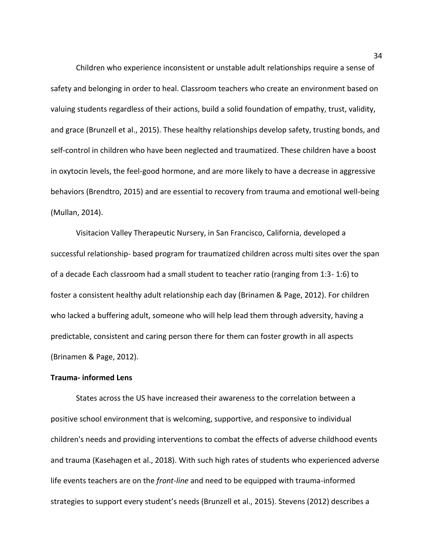Children who experience inconsistent or unstable adult relationships require a sense of safety and belonging in order to heal. Classroom teachers who create an environment based on valuing students regardless of their actions, build a solid foundation of empathy, trust, validity, and grace (Brunzell et al., 2015). These healthy relationships develop safety, trusting bonds, and self-control in children who have been neglected and traumatized. These children have a boost in oxytocin levels, the feel-good hormone, and are more likely to have a decrease in aggressive behaviors (Brendtro, 2015) and are essential to recovery from trauma and emotional well-being (Mullan, 2014).

Visitacion Valley Therapeutic Nursery, in San Francisco, California, developed a successful relationship- based program for traumatized children across multi sites over the span of a decade Each classroom had a small student to teacher ratio (ranging from 1:3- 1:6) to foster a consistent healthy adult relationship each day (Brinamen & Page, 2012). For children who lacked a buffering adult, someone who will help lead them through adversity, having a predictable, consistent and caring person there for them can foster growth in all aspects (Brinamen & Page, 2012).

#### **Trauma- informed Lens**

States across the US have increased their awareness to the correlation between a positive school environment that is welcoming, supportive, and responsive to individual children's needs and providing interventions to combat the effects of adverse childhood events and trauma (Kasehagen et al., 2018). With such high rates of students who experienced adverse life events teachers are on the *front-line* and need to be equipped with trauma-informed strategies to support every student's needs (Brunzell et al., 2015). Stevens (2012) describes a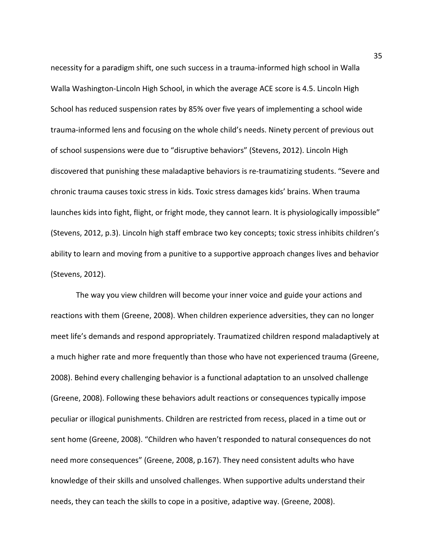necessity for a paradigm shift, one such success in a trauma-informed high school in Walla Walla Washington-Lincoln High School, in which the average ACE score is 4.5. Lincoln High School has reduced suspension rates by 85% over five years of implementing a school wide trauma-informed lens and focusing on the whole child's needs. Ninety percent of previous out of school suspensions were due to "disruptive behaviors" (Stevens, 2012). Lincoln High discovered that punishing these maladaptive behaviors is re-traumatizing students. "Severe and chronic trauma causes toxic stress in kids. Toxic stress damages kids' brains. When trauma launches kids into fight, flight, or fright mode, they cannot learn. It is physiologically impossible" (Stevens, 2012, p.3). Lincoln high staff embrace two key concepts; toxic stress inhibits children's ability to learn and moving from a punitive to a supportive approach changes lives and behavior (Stevens, 2012).

The way you view children will become your inner voice and guide your actions and reactions with them (Greene, 2008). When children experience adversities, they can no longer meet life's demands and respond appropriately. Traumatized children respond maladaptively at a much higher rate and more frequently than those who have not experienced trauma (Greene, 2008). Behind every challenging behavior is a functional adaptation to an unsolved challenge (Greene, 2008). Following these behaviors adult reactions or consequences typically impose peculiar or illogical punishments. Children are restricted from recess, placed in a time out or sent home (Greene, 2008). "Children who haven't responded to natural consequences do not need more consequences" (Greene, 2008, p.167). They need consistent adults who have knowledge of their skills and unsolved challenges. When supportive adults understand their needs, they can teach the skills to cope in a positive, adaptive way. (Greene, 2008).

35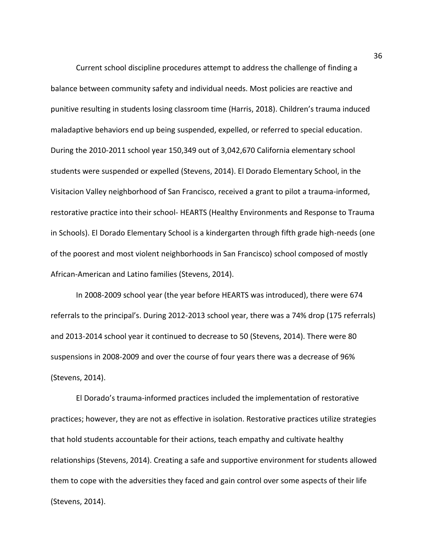Current school discipline procedures attempt to address the challenge of finding a balance between community safety and individual needs. Most policies are reactive and punitive resulting in students losing classroom time (Harris, 2018). Children's trauma induced maladaptive behaviors end up being suspended, expelled, or referred to special education. During the 2010-2011 school year 150,349 out of 3,042,670 California elementary school students were suspended or expelled (Stevens, 2014). El Dorado Elementary School, in the Visitacion Valley neighborhood of San Francisco, received a grant to pilot a trauma-informed, restorative practice into their school- HEARTS (Healthy Environments and Response to Trauma in Schools). El Dorado Elementary School is a kindergarten through fifth grade high-needs (one of the poorest and most violent neighborhoods in San Francisco) school composed of mostly African-American and Latino families (Stevens, 2014).

In 2008-2009 school year (the year before HEARTS was introduced), there were 674 referrals to the principal's. During 2012-2013 school year, there was a 74% drop (175 referrals) and 2013-2014 school year it continued to decrease to 50 (Stevens, 2014). There were 80 suspensions in 2008-2009 and over the course of four years there was a decrease of 96% (Stevens, 2014).

El Dorado's trauma-informed practices included the implementation of restorative practices; however, they are not as effective in isolation. Restorative practices utilize strategies that hold students accountable for their actions, teach empathy and cultivate healthy relationships (Stevens, 2014). Creating a safe and supportive environment for students allowed them to cope with the adversities they faced and gain control over some aspects of their life (Stevens, 2014).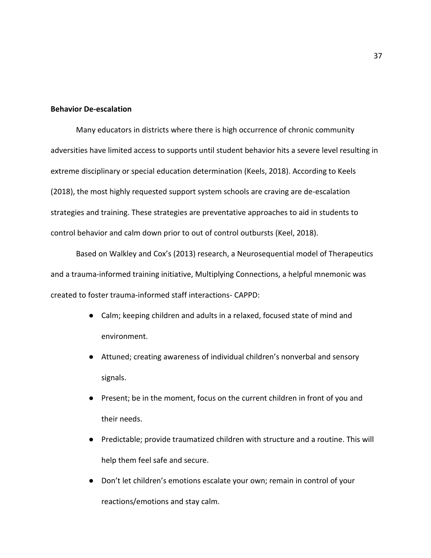# **Behavior De-escalation**

Many educators in districts where there is high occurrence of chronic community adversities have limited access to supports until student behavior hits a severe level resulting in extreme disciplinary or special education determination (Keels, 2018). According to Keels (2018), the most highly requested support system schools are craving are de-escalation strategies and training. These strategies are preventative approaches to aid in students to control behavior and calm down prior to out of control outbursts (Keel, 2018).

Based on Walkley and Cox's (2013) research, a Neurosequential model of Therapeutics and a trauma-informed training initiative, Multiplying Connections, a helpful mnemonic was created to foster trauma-informed staff interactions- CAPPD:

- Calm; keeping children and adults in a relaxed, focused state of mind and environment.
- Attuned; creating awareness of individual children's nonverbal and sensory signals.
- Present; be in the moment, focus on the current children in front of you and their needs.
- Predictable; provide traumatized children with structure and a routine. This will help them feel safe and secure.
- Don't let children's emotions escalate your own; remain in control of your reactions/emotions and stay calm.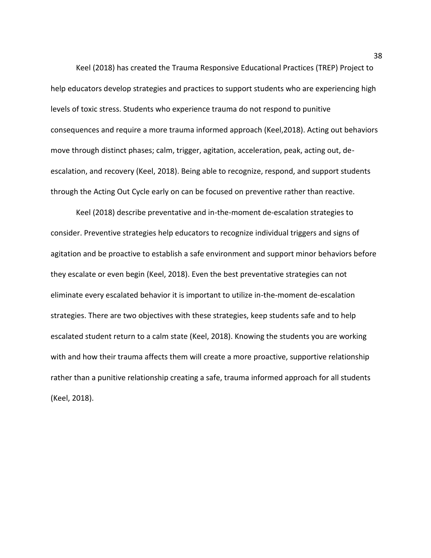Keel (2018) has created the Trauma Responsive Educational Practices (TREP) Project to help educators develop strategies and practices to support students who are experiencing high levels of toxic stress. Students who experience trauma do not respond to punitive consequences and require a more trauma informed approach (Keel,2018). Acting out behaviors move through distinct phases; calm, trigger, agitation, acceleration, peak, acting out, deescalation, and recovery (Keel, 2018). Being able to recognize, respond, and support students through the Acting Out Cycle early on can be focused on preventive rather than reactive.

Keel (2018) describe preventative and in-the-moment de-escalation strategies to consider. Preventive strategies help educators to recognize individual triggers and signs of agitation and be proactive to establish a safe environment and support minor behaviors before they escalate or even begin (Keel, 2018). Even the best preventative strategies can not eliminate every escalated behavior it is important to utilize in-the-moment de-escalation strategies. There are two objectives with these strategies, keep students safe and to help escalated student return to a calm state (Keel, 2018). Knowing the students you are working with and how their trauma affects them will create a more proactive, supportive relationship rather than a punitive relationship creating a safe, trauma informed approach for all students (Keel, 2018).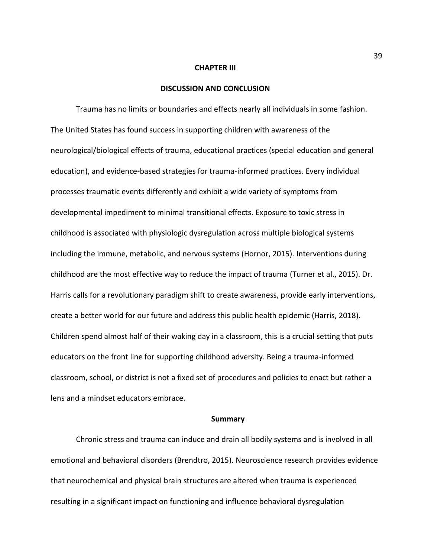#### **CHAPTER III**

#### **DISCUSSION AND CONCLUSION**

Trauma has no limits or boundaries and effects nearly all individuals in some fashion. The United States has found success in supporting children with awareness of the neurological/biological effects of trauma, educational practices (special education and general education), and evidence-based strategies for trauma-informed practices. Every individual processes traumatic events differently and exhibit a wide variety of symptoms from developmental impediment to minimal transitional effects. Exposure to toxic stress in childhood is associated with physiologic dysregulation across multiple biological systems including the immune, metabolic, and nervous systems (Hornor, 2015). Interventions during childhood are the most effective way to reduce the impact of trauma (Turner et al., 2015). Dr. Harris calls for a revolutionary paradigm shift to create awareness, provide early interventions, create a better world for our future and address this public health epidemic (Harris, 2018). Children spend almost half of their waking day in a classroom, this is a crucial setting that puts educators on the front line for supporting childhood adversity. Being a trauma-informed classroom, school, or district is not a fixed set of procedures and policies to enact but rather a lens and a mindset educators embrace.

#### **Summary**

Chronic stress and trauma can induce and drain all bodily systems and is involved in all emotional and behavioral disorders (Brendtro, 2015). Neuroscience research provides evidence that neurochemical and physical brain structures are altered when trauma is experienced resulting in a significant impact on functioning and influence behavioral dysregulation

39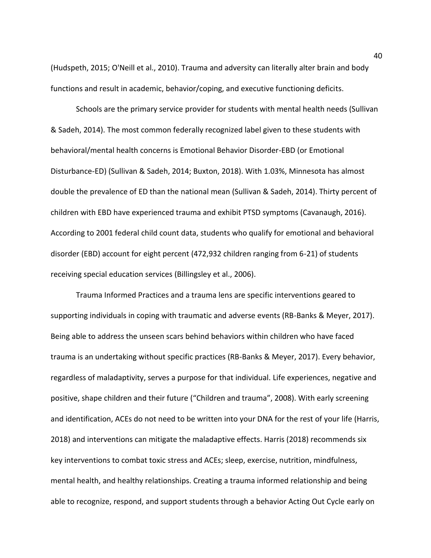(Hudspeth, 2015; O'Neill et al., 2010). Trauma and adversity can literally alter brain and body functions and result in academic, behavior/coping, and executive functioning deficits.

Schools are the primary service provider for students with mental health needs (Sullivan & Sadeh, 2014). The most common federally recognized label given to these students with behavioral/mental health concerns is Emotional Behavior Disorder-EBD (or Emotional Disturbance-ED) (Sullivan & Sadeh, 2014; Buxton, 2018). With 1.03%, Minnesota has almost double the prevalence of ED than the national mean (Sullivan & Sadeh, 2014). Thirty percent of children with EBD have experienced trauma and exhibit PTSD symptoms (Cavanaugh, 2016). According to 2001 federal child count data, students who qualify for emotional and behavioral disorder (EBD) account for eight percent (472,932 children ranging from 6-21) of students receiving special education services (Billingsley et al., 2006).

Trauma Informed Practices and a trauma lens are specific interventions geared to supporting individuals in coping with traumatic and adverse events (RB-Banks & Meyer, 2017). Being able to address the unseen scars behind behaviors within children who have faced trauma is an undertaking without specific practices (RB-Banks & Meyer, 2017). Every behavior, regardless of maladaptivity, serves a purpose for that individual. Life experiences, negative and positive, shape children and their future ("Children and trauma", 2008). With early screening and identification, ACEs do not need to be written into your DNA for the rest of your life (Harris, 2018) and interventions can mitigate the maladaptive effects. Harris (2018) recommends six key interventions to combat toxic stress and ACEs; sleep, exercise, nutrition, mindfulness, mental health, and healthy relationships. Creating a trauma informed relationship and being able to recognize, respond, and support students through a behavior Acting Out Cycle early on

40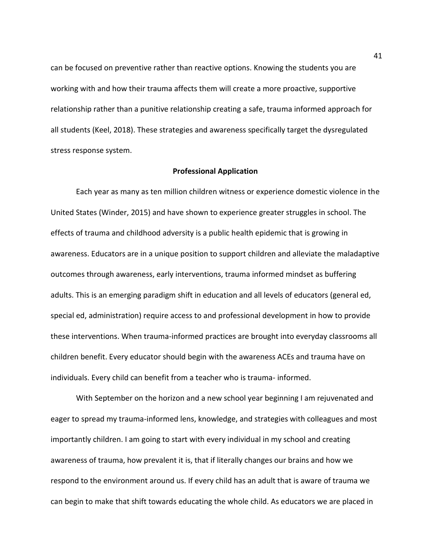can be focused on preventive rather than reactive options. Knowing the students you are working with and how their trauma affects them will create a more proactive, supportive relationship rather than a punitive relationship creating a safe, trauma informed approach for all students (Keel, 2018). These strategies and awareness specifically target the dysregulated stress response system.

#### **Professional Application**

Each year as many as ten million children witness or experience domestic violence in the United States (Winder, 2015) and have shown to experience greater struggles in school. The effects of trauma and childhood adversity is a public health epidemic that is growing in awareness. Educators are in a unique position to support children and alleviate the maladaptive outcomes through awareness, early interventions, trauma informed mindset as buffering adults. This is an emerging paradigm shift in education and all levels of educators (general ed, special ed, administration) require access to and professional development in how to provide these interventions. When trauma-informed practices are brought into everyday classrooms all children benefit. Every educator should begin with the awareness ACEs and trauma have on individuals. Every child can benefit from a teacher who is trauma- informed.

With September on the horizon and a new school year beginning I am rejuvenated and eager to spread my trauma-informed lens, knowledge, and strategies with colleagues and most importantly children. I am going to start with every individual in my school and creating awareness of trauma, how prevalent it is, that if literally changes our brains and how we respond to the environment around us. If every child has an adult that is aware of trauma we can begin to make that shift towards educating the whole child. As educators we are placed in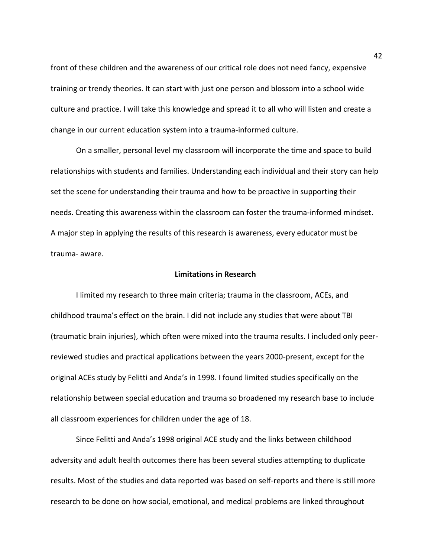front of these children and the awareness of our critical role does not need fancy, expensive training or trendy theories. It can start with just one person and blossom into a school wide culture and practice. I will take this knowledge and spread it to all who will listen and create a change in our current education system into a trauma-informed culture.

On a smaller, personal level my classroom will incorporate the time and space to build relationships with students and families. Understanding each individual and their story can help set the scene for understanding their trauma and how to be proactive in supporting their needs. Creating this awareness within the classroom can foster the trauma-informed mindset. A major step in applying the results of this research is awareness, every educator must be trauma- aware.

#### **Limitations in Research**

I limited my research to three main criteria; trauma in the classroom, ACEs, and childhood trauma's effect on the brain. I did not include any studies that were about TBI (traumatic brain injuries), which often were mixed into the trauma results. I included only peerreviewed studies and practical applications between the years 2000-present, except for the original ACEs study by Felitti and Anda's in 1998. I found limited studies specifically on the relationship between special education and trauma so broadened my research base to include all classroom experiences for children under the age of 18.

Since Felitti and Anda's 1998 original ACE study and the links between childhood adversity and adult health outcomes there has been several studies attempting to duplicate results. Most of the studies and data reported was based on self-reports and there is still more research to be done on how social, emotional, and medical problems are linked throughout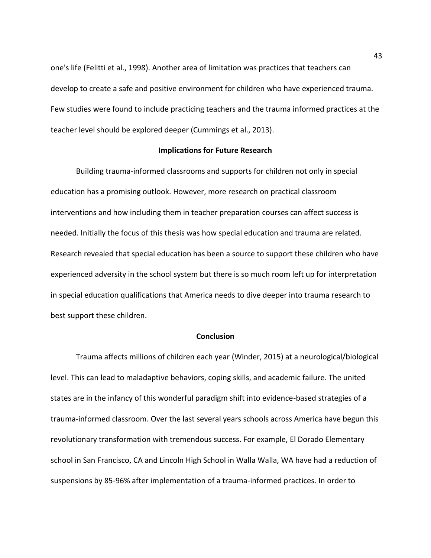one's life (Felitti et al., 1998). Another area of limitation was practices that teachers can develop to create a safe and positive environment for children who have experienced trauma. Few studies were found to include practicing teachers and the trauma informed practices at the teacher level should be explored deeper (Cummings et al., 2013).

## **Implications for Future Research**

Building trauma-informed classrooms and supports for children not only in special education has a promising outlook. However, more research on practical classroom interventions and how including them in teacher preparation courses can affect success is needed. Initially the focus of this thesis was how special education and trauma are related. Research revealed that special education has been a source to support these children who have experienced adversity in the school system but there is so much room left up for interpretation in special education qualifications that America needs to dive deeper into trauma research to best support these children.

#### **Conclusion**

Trauma affects millions of children each year (Winder, 2015) at a neurological/biological level. This can lead to maladaptive behaviors, coping skills, and academic failure. The united states are in the infancy of this wonderful paradigm shift into evidence-based strategies of a trauma-informed classroom. Over the last several years schools across America have begun this revolutionary transformation with tremendous success. For example, El Dorado Elementary school in San Francisco, CA and Lincoln High School in Walla Walla, WA have had a reduction of suspensions by 85-96% after implementation of a trauma-informed practices. In order to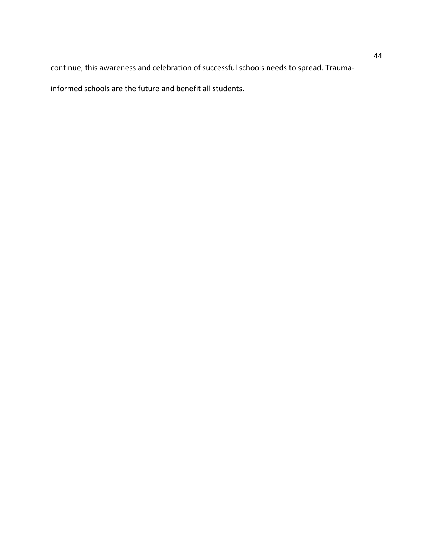continue, this awareness and celebration of successful schools needs to spread. Trauma-

informed schools are the future and benefit all students.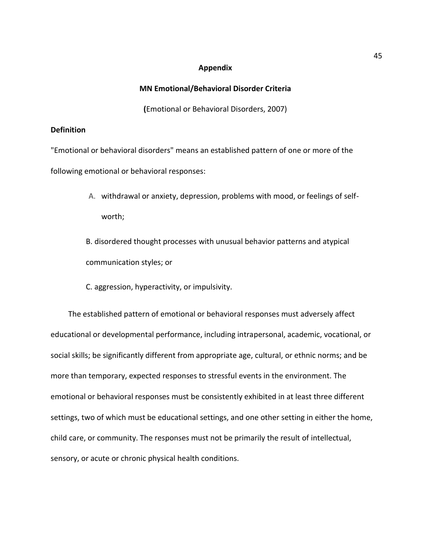#### **Appendix**

#### **MN Emotional/Behavioral Disorder Criteria**

**(**Emotional or Behavioral Disorders, 2007)

# **Definition**

"Emotional or behavioral disorders" means an established pattern of one or more of the following emotional or behavioral responses:

- A. withdrawal or anxiety, depression, problems with mood, or feelings of selfworth;
- B. disordered thought processes with unusual behavior patterns and atypical communication styles; or
- C. aggression, hyperactivity, or impulsivity.

The established pattern of emotional or behavioral responses must adversely affect educational or developmental performance, including intrapersonal, academic, vocational, or social skills; be significantly different from appropriate age, cultural, or ethnic norms; and be more than temporary, expected responses to stressful events in the environment. The emotional or behavioral responses must be consistently exhibited in at least three different settings, two of which must be educational settings, and one other setting in either the home, child care, or community. The responses must not be primarily the result of intellectual, sensory, or acute or chronic physical health conditions.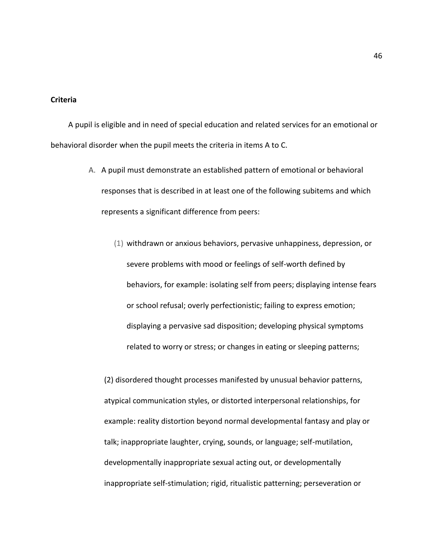#### **Criteria**

A pupil is eligible and in need of special education and related services for an emotional or behavioral disorder when the pupil meets the criteria in items A to C.

- A. A pupil must demonstrate an established pattern of emotional or behavioral responses that is described in at least one of the following subitems and which represents a significant difference from peers:
	- (1) withdrawn or anxious behaviors, pervasive unhappiness, depression, or severe problems with mood or feelings of self-worth defined by behaviors, for example: isolating self from peers; displaying intense fears or school refusal; overly perfectionistic; failing to express emotion; displaying a pervasive sad disposition; developing physical symptoms related to worry or stress; or changes in eating or sleeping patterns;

(2) disordered thought processes manifested by unusual behavior patterns, atypical communication styles, or distorted interpersonal relationships, for example: reality distortion beyond normal developmental fantasy and play or talk; inappropriate laughter, crying, sounds, or language; self-mutilation, developmentally inappropriate sexual acting out, or developmentally inappropriate self-stimulation; rigid, ritualistic patterning; perseveration or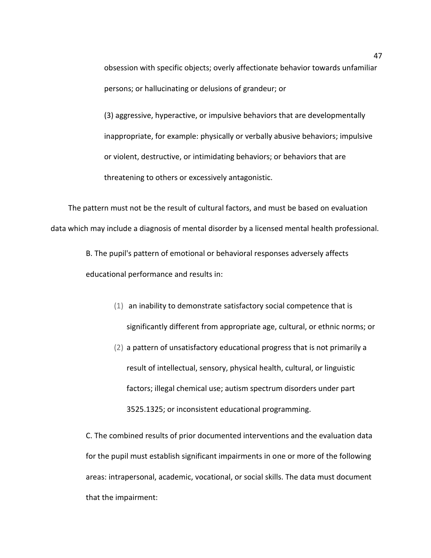obsession with specific objects; overly affectionate behavior towards unfamiliar persons; or hallucinating or delusions of grandeur; or

(3) aggressive, hyperactive, or impulsive behaviors that are developmentally inappropriate, for example: physically or verbally abusive behaviors; impulsive or violent, destructive, or intimidating behaviors; or behaviors that are threatening to others or excessively antagonistic.

The pattern must not be the result of cultural factors, and must be based on evaluation data which may include a diagnosis of mental disorder by a licensed mental health professional.

> B. The pupil's pattern of emotional or behavioral responses adversely affects educational performance and results in:

- (1) an inability to demonstrate satisfactory social competence that is significantly different from appropriate age, cultural, or ethnic norms; or
- (2) a pattern of unsatisfactory educational progress that is not primarily a result of intellectual, sensory, physical health, cultural, or linguistic factors; illegal chemical use; autism spectrum disorders under part 3525.1325; or inconsistent educational programming.

C. The combined results of prior documented interventions and the evaluation data for the pupil must establish significant impairments in one or more of the following areas: intrapersonal, academic, vocational, or social skills. The data must document that the impairment: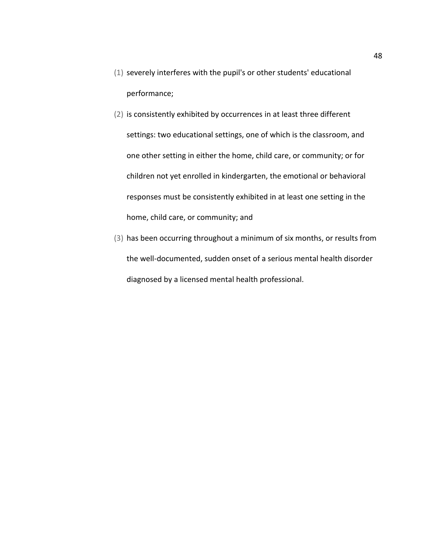- (1) severely interferes with the pupil's or other students' educational performance;
- (2) is consistently exhibited by occurrences in at least three different settings: two educational settings, one of which is the classroom, and one other setting in either the home, child care, or community; or for children not yet enrolled in kindergarten, the emotional or behavioral responses must be consistently exhibited in at least one setting in the home, child care, or community; and
- (3) has been occurring throughout a minimum of six months, or results from the well-documented, sudden onset of a serious mental health disorder diagnosed by a licensed mental health professional.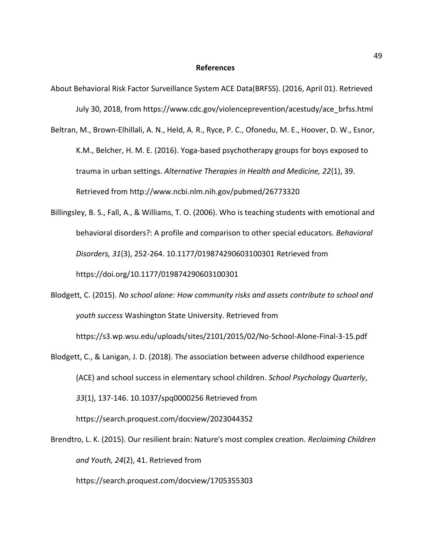#### **References**

- About Behavioral Risk Factor Surveillance System ACE Data(BRFSS). (2016, April 01). Retrieved July 30, 2018, from https://www.cdc.gov/violenceprevention/acestudy/ace\_brfss.html
- Beltran, M., Brown-Elhillali, A. N., Held, A. R., Ryce, P. C., Ofonedu, M. E., Hoover, D. W., Esnor, K.M., Belcher, H. M. E. (2016). Yoga-based psychotherapy groups for boys exposed to trauma in urban settings. *Alternative Therapies in Health and Medicine, 22*(1), 39. Retrieved from http://www.ncbi.nlm.nih.gov/pubmed/26773320
- Billingsley, B. S., Fall, A., & Williams, T. O. (2006). Who is teaching students with emotional and behavioral disorders?: A profile and comparison to other special educators. *Behavioral Disorders, 31*(3), 252-264. 10.1177/019874290603100301 Retrieved from https://doi.org/10.1177/019874290603100301
- Blodgett, C. (2015). *No school alone: How community risks and assets contribute to school and youth success* Washington State University. Retrieved from

https://s3.wp.wsu.edu/uploads/sites/2101/2015/02/No-School-Alone-Final-3-15.pdf

- Blodgett, C., & Lanigan, J. D. (2018). The association between adverse childhood experience (ACE) and school success in elementary school children. *School Psychology Quarterly*, *33*(1), 137-146. 10.1037/spq0000256 Retrieved from https://search.proquest.com/docview/2023044352
- Brendtro, L. K. (2015). Our resilient brain: Nature's most complex creation. *Reclaiming Children and Youth, 24*(2), 41. Retrieved from

https://search.proquest.com/docview/1705355303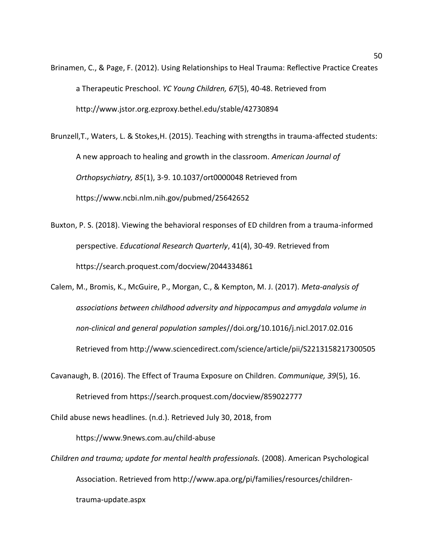Brinamen, C., & Page, F. (2012). Using Relationships to Heal Trauma: Reflective Practice Creates a Therapeutic Preschool. *YC Young Children, 67*(5), 40-48. Retrieved from http://www.jstor.org.ezproxy.bethel.edu/stable/42730894

Brunzell,T., Waters, L. & Stokes,H. (2015). Teaching with strengths in trauma-affected students: A new approach to healing and growth in the classroom. *American Journal of Orthopsychiatry, 85*(1), 3-9. 10.1037/ort0000048 Retrieved from https://www.ncbi.nlm.nih.gov/pubmed/25642652

Buxton, P. S. (2018). Viewing the behavioral responses of ED children from a trauma-informed perspective. *Educational Research Quarterly*, 41(4), 30-49. Retrieved fro[m](https://search.proquest.com/docview/2044334861) <https://search.proquest.com/docview/2044334861>

Calem, M., Bromis, K., McGuire, P., Morgan, C., & Kempton, M. J. (2017). *Meta-analysis of associations between childhood adversity and hippocampus and amygdala volume in non-clinical and general population samples*//doi.org/10.1016/j.nicl.2017.02.016 Retrieved from http://www.sciencedirect.com/science/article/pii/S2213158217300505

Cavanaugh, B. (2016). The Effect of Trauma Exposure on Children. *Communique, 39*(5), 16. Retrieved from https://search.proquest.com/docview/859022777

Child abuse news headlines. (n.d.). Retrieved July 30, 2018, from

https://www.9news.com.au/child-abuse

*Children and trauma; update for mental health professionals.* (2008). American Psychological Association. Retrieved from [http://www.apa.org/pi/families/resources/children](http://www.apa.org/pi/families/resources/children-trauma-update.aspx)[trauma-update.aspx](http://www.apa.org/pi/families/resources/children-trauma-update.aspx)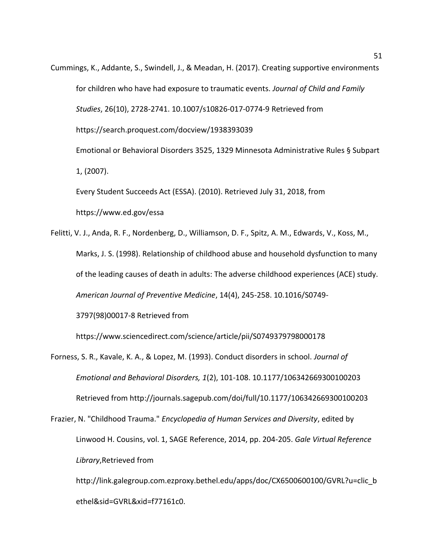Cummings, K., Addante, S., Swindell, J., & Meadan, H. (2017). Creating supportive environments for children who have had exposure to traumatic events. *Journal of Child and Family Studies*, 26(10), 2728-2741. 10.1007/s10826-017-0774-9 Retrieved from https://search.proquest.com/docview/1938393039 Emotional or Behavioral Disorders 3525, 1329 Minnesota Administrative Rules § Subpart 1, (2007). Every Student Succeeds Act (ESSA). (2010). Retrieved July 31, 2018, from

https://www.ed.gov/essa

Felitti, V. J., Anda, R. F., Nordenberg, D., Williamson, D. F., Spitz, A. M., Edwards, V., Koss, M., Marks, J. S. (1998). Relationship of childhood abuse and household dysfunction to many of the leading causes of death in adults: The adverse childhood experiences (ACE) study. *American Journal of Preventive Medicine*, 14(4), 245-258. 10.1016/S0749-

3797(98)00017-8 Retrieved fro[m](https://www.sciencedirect.com/science/article/pii/S0749379798000178)

<https://www.sciencedirect.com/science/article/pii/S0749379798000178>

- Forness, S. R., Kavale, K. A., & Lopez, M. (1993). Conduct disorders in school. *Journal of Emotional and Behavioral Disorders, 1*(2), 101-108. 10.1177/106342669300100203 Retrieved from http://journals.sagepub.com/doi/full/10.1177/106342669300100203
- Frazier, N. "Childhood Trauma." *Encyclopedia of Human Services and Diversity*, edited by Linwood H. Cousins, vol. 1, SAGE Reference, 2014, pp. 204-205. *Gale Virtual Reference Library*,Retrieved from

http://link.galegroup.com.ezproxy.bethel.edu/apps/doc/CX6500600100/GVRL?u=clic\_b ethel&sid=GVRL&xid=f77161c0.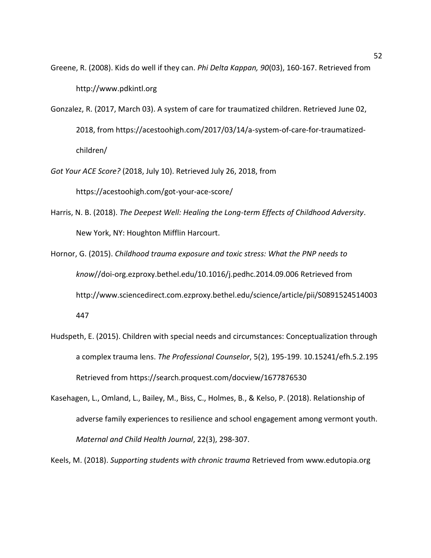- Greene, R. (2008). Kids do well if they can. *Phi Delta Kappan, 90*(03), 160-167. Retrieved from http://www.pdkintl.org
- Gonzalez, R. (2017, March 03). A system of care for traumatized children. Retrieved June 02, 2018, from https://acestoohigh.com/2017/03/14/a-system-of-care-for-traumatizedchildren/
- *Got Your ACE Score?* (2018, July 10). Retrieved July 26, 2018, from https://acestoohigh.com/got-your-ace-score/
- Harris, N. B. (2018). *The Deepest Well: Healing the Long-term Effects of Childhood Adversity*. New York, NY: Houghton Mifflin Harcourt.
- Hornor, G. (2015). *Childhood trauma exposure and toxic stress: What the PNP needs to know*//doi-org.ezproxy.bethel.edu/10.1016/j.pedhc.2014.09.006 Retrieved from http://www.sciencedirect.com.ezproxy.bethel.edu/science/article/pii/S0891524514003 447
- Hudspeth, E. (2015). Children with special needs and circumstances: Conceptualization through a complex trauma lens. *The Professional Counselor*, 5(2), 195-199. 10.15241/efh.5.2.195 Retrieved from <https://search.proquest.com/docview/1677876530>
- Kasehagen, L., Omland, L., Bailey, M., Biss, C., Holmes, B., & Kelso, P. (2018). Relationship of adverse family experiences to resilience and school engagement among vermont youth. *Maternal and Child Health Journal*, 22(3), 298-307.

Keels, M. (2018). *Supporting students with chronic trauma* Retrieved from [www.edutopia.org](http://www.edutopia.org/)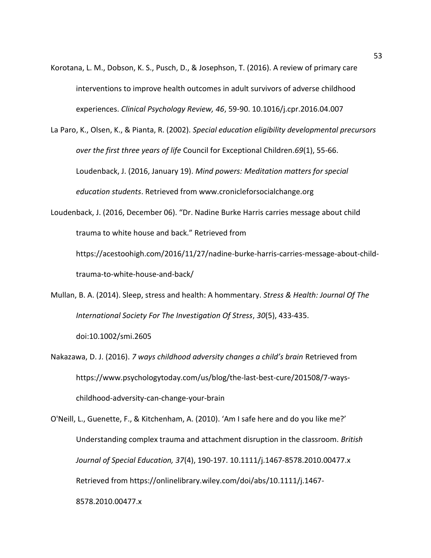- Korotana, L. M., Dobson, K. S., Pusch, D., & Josephson, T. (2016). A review of primary care interventions to improve health outcomes in adult survivors of adverse childhood experiences. *Clinical Psychology Review, 46*, 59-90. 10.1016/j.cpr.2016.04.007
- La Paro, K., Olsen, K., & Pianta, R. (2002). *Special education eligibility developmental precursors over the first three years of life* Council for Exceptional Children.*69*(1), 55-66. Loudenback, J. (2016, January 19). *Mind powers: Meditation matters for special education students*. Retrieved from www.cronicleforsocialchange.org

Loudenback, J. (2016, December 06). "Dr. Nadine Burke Harris carries message about child trauma to white house and back." Retrieved from https://acestoohigh.com/2016/11/27/nadine-burke-harris-carries-message-about-childtrauma-to-white-house-and-back/

- Mullan, B. A. (2014). Sleep, stress and health: A hommentary. *Stress & Health: Journal Of The International Society For The Investigation Of Stress*, *30*(5), 433-435. doi:10.1002/smi.2605
- Nakazawa, D. J. (2016). *7 ways childhood adversity changes a child's brain* Retrieved from https://www.psychologytoday.com/us/blog/the-last-best-cure/201508/7-wayschildhood-adversity-can-change-your-brain

O'Neill, L., Guenette, F., & Kitchenham, A. (2010). 'Am I safe here and do you like me?' Understanding complex trauma and attachment disruption in the classroom. *British Journal of Special Education, 37*(4), 190-197. 10.1111/j.1467-8578.2010.00477.x Retrieved from https://onlinelibrary.wiley.com/doi/abs/10.1111/j.1467- 8578.2010.00477.x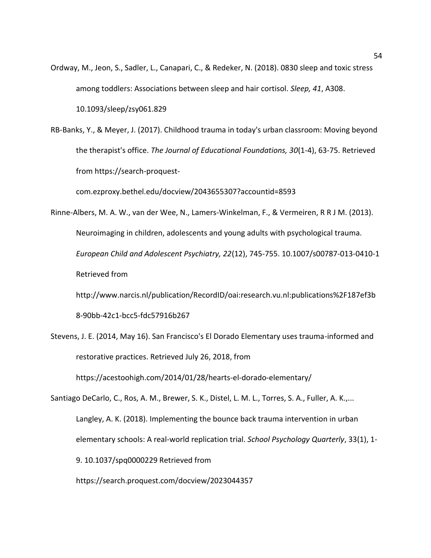- Ordway, M., Jeon, S., Sadler, L., Canapari, C., & Redeker, N. (2018). 0830 sleep and toxic stress among toddlers: Associations between sleep and hair cortisol. *Sleep, 41*, A308. 10.1093/sleep/zsy061.829
- RB-Banks, Y., & Meyer, J. (2017). Childhood trauma in today's urban classroom: Moving beyond the therapist's office. *The Journal of Educational Foundations, 30*(1-4), 63-75. Retrieved from https://search-proquest-

com.ezproxy.bethel.edu/docview/2043655307?accountid=8593

Rinne-Albers, M. A. W., van der Wee, N., Lamers-Winkelman, F., & Vermeiren, R R J M. (2013). Neuroimaging in children, adolescents and young adults with psychological trauma. *European Child and Adolescent Psychiatry, 22*(12), 745-755. 10.1007/s00787-013-0410-1 Retrieved from

http://www.narcis.nl/publication/RecordID/oai:research.vu.nl:publications%2F187ef3b 8-90bb-42c1-bcc5-fdc57916b267

Stevens, J. E. (2014, May 16). San Francisco's El Dorado Elementary uses trauma-informed and restorative practices. Retrieved July 26, 2018, from

https://acestoohigh.com/2014/01/28/hearts-el-dorado-elementary/

Santiago DeCarlo, C., Ros, A. M., Brewer, S. K., Distel, L. M. L., Torres, S. A., Fuller, A. K.,... Langley, A. K. (2018). Implementing the bounce back trauma intervention in urban elementary schools: A real-world replication trial. *School Psychology Quarterly*, 33(1), 1- 9. 10.1037/spq0000229 Retrieved from

https://search.proquest.com/docview/2023044357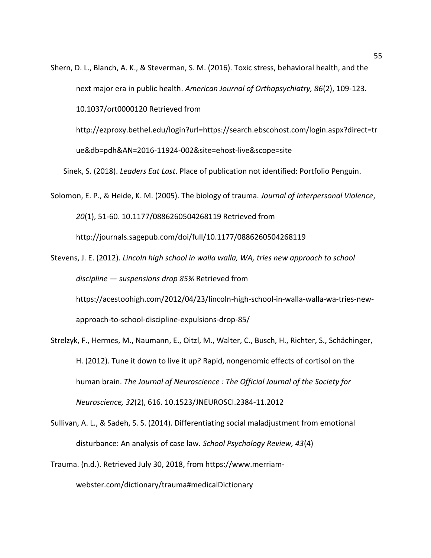Shern, D. L., Blanch, A. K., & Steverman, S. M. (2016). Toxic stress, behavioral health, and the next major era in public health. *American Journal of Orthopsychiatry, 86*(2), 109-123. 10.1037/ort0000120 Retrieved from

http://ezproxy.bethel.edu/login?url=https://search.ebscohost.com/login.aspx?direct=tr ue&db=pdh&AN=2016-11924-002&site=ehost-live&scope=site

Sinek, S. (2018). *Leaders Eat Last*. Place of publication not identified: Portfolio Penguin.

- Solomon, E. P., & Heide, K. M. (2005). The biology of trauma. *Journal of Interpersonal Violence*, *20*(1), 51-60. 10.1177/0886260504268119 Retrieved from <http://journals.sagepub.com/doi/full/10.1177/0886260504268119>
- Stevens, J. E. (2012). *Lincoln high school in walla walla, WA, tries new approach to school discipline — suspensions drop 85%* Retrieved from https://acestoohigh.com/2012/04/23/lincoln-high-school-in-walla-walla-wa-tries-newapproach-to-school-discipline-expulsions-drop-85/
- Strelzyk, F., Hermes, M., Naumann, E., Oitzl, M., Walter, C., Busch, H., Richter, S., Schächinger, H. (2012). Tune it down to live it up? Rapid, nongenomic effects of cortisol on the human brain. *The Journal of Neuroscience : The Official Journal of the Society for Neuroscience, 32*(2), 616. 10.1523/JNEUROSCI.2384-11.2012
- Sullivan, A. L., & Sadeh, S. S. (2014). Differentiating social maladjustment from emotional disturbance: An analysis of case law. *School Psychology Review, 43*(4)
- Trauma. (n.d.). Retrieved July 30, 2018, from https://www.merriamwebster.com/dictionary/trauma#medicalDictionary